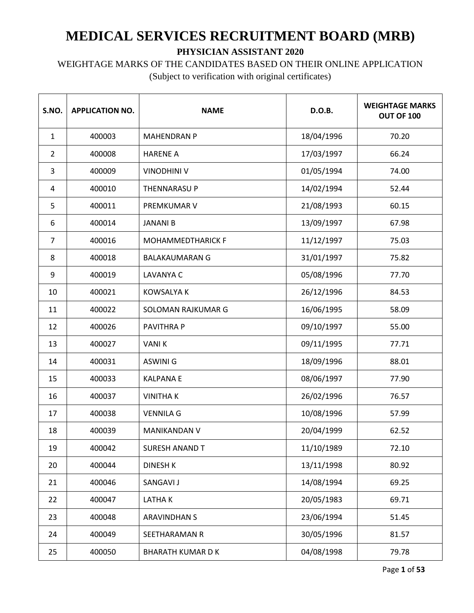#### WEIGHTAGE MARKS OF THE CANDIDATES BASED ON THEIR ONLINE APPLICATION

| S.NO.          | <b>APPLICATION NO.</b> | <b>NAME</b>              | D.O.B.     | <b>WEIGHTAGE MARKS</b><br><b>OUT OF 100</b> |
|----------------|------------------------|--------------------------|------------|---------------------------------------------|
| $\mathbf{1}$   | 400003                 | <b>MAHENDRAN P</b>       | 18/04/1996 | 70.20                                       |
| $\overline{2}$ | 400008                 | <b>HARENE A</b>          | 17/03/1997 | 66.24                                       |
| 3              | 400009                 | <b>VINODHINI V</b>       | 01/05/1994 | 74.00                                       |
| 4              | 400010                 | THENNARASU P             | 14/02/1994 | 52.44                                       |
| 5              | 400011                 | PREMKUMAR V              | 21/08/1993 | 60.15                                       |
| 6              | 400014                 | <b>JANANI B</b>          | 13/09/1997 | 67.98                                       |
| $\overline{7}$ | 400016                 | <b>MOHAMMEDTHARICK F</b> | 11/12/1997 | 75.03                                       |
| 8              | 400018                 | <b>BALAKAUMARAN G</b>    | 31/01/1997 | 75.82                                       |
| 9              | 400019                 | LAVANYA C                | 05/08/1996 | 77.70                                       |
| 10             | 400021                 | <b>KOWSALYA K</b>        | 26/12/1996 | 84.53                                       |
| 11             | 400022                 | SOLOMAN RAJKUMAR G       | 16/06/1995 | 58.09                                       |
| 12             | 400026                 | PAVITHRA P               | 09/10/1997 | 55.00                                       |
| 13             | 400027                 | <b>VANIK</b>             | 09/11/1995 | 77.71                                       |
| 14             | 400031                 | <b>ASWINI G</b>          | 18/09/1996 | 88.01                                       |
| 15             | 400033                 | <b>KALPANAE</b>          | 08/06/1997 | 77.90                                       |
| 16             | 400037                 | <b>VINITHAK</b>          | 26/02/1996 | 76.57                                       |
| 17             | 400038                 | <b>VENNILA G</b>         | 10/08/1996 | 57.99                                       |
| 18             | 400039                 | <b>MANIKANDAN V</b>      | 20/04/1999 | 62.52                                       |
| 19             | 400042                 | <b>SURESH ANAND T</b>    | 11/10/1989 | 72.10                                       |
| 20             | 400044                 | <b>DINESH K</b>          | 13/11/1998 | 80.92                                       |
| 21             | 400046                 | SANGAVI J                | 14/08/1994 | 69.25                                       |
| 22             | 400047                 | LATHAK                   | 20/05/1983 | 69.71                                       |
| 23             | 400048                 | ARAVINDHAN S             | 23/06/1994 | 51.45                                       |
| 24             | 400049                 | SEETHARAMAN R            | 30/05/1996 | 81.57                                       |
| 25             | 400050                 | <b>BHARATH KUMAR D K</b> | 04/08/1998 | 79.78                                       |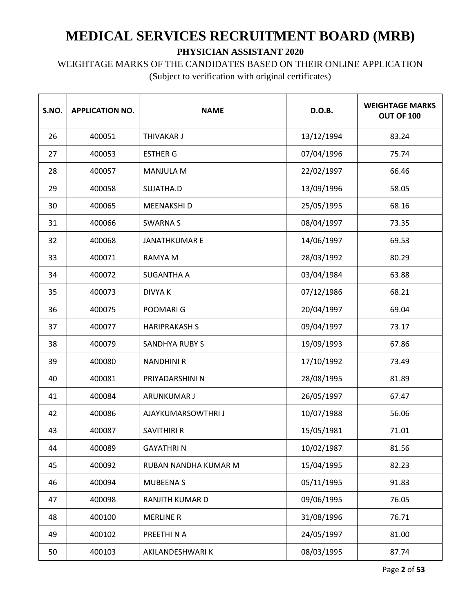# WEIGHTAGE MARKS OF THE CANDIDATES BASED ON THEIR ONLINE APPLICATION

| S.NO. | <b>APPLICATION NO.</b> | <b>NAME</b>           | D.O.B.     | <b>WEIGHTAGE MARKS</b><br>OUT OF 100 |
|-------|------------------------|-----------------------|------------|--------------------------------------|
| 26    | 400051                 | <b>THIVAKAR J</b>     | 13/12/1994 | 83.24                                |
| 27    | 400053                 | <b>ESTHER G</b>       | 07/04/1996 | 75.74                                |
| 28    | 400057                 | <b>MANJULA M</b>      | 22/02/1997 | 66.46                                |
| 29    | 400058                 | SUJATHA.D             | 13/09/1996 | 58.05                                |
| 30    | 400065                 | MEENAKSHI D           | 25/05/1995 | 68.16                                |
| 31    | 400066                 | <b>SWARNAS</b>        | 08/04/1997 | 73.35                                |
| 32    | 400068                 | <b>JANATHKUMAR E</b>  | 14/06/1997 | 69.53                                |
| 33    | 400071                 | <b>RAMYA M</b>        | 28/03/1992 | 80.29                                |
| 34    | 400072                 | <b>SUGANTHA A</b>     | 03/04/1984 | 63.88                                |
| 35    | 400073                 | <b>DIVYAK</b>         | 07/12/1986 | 68.21                                |
| 36    | 400075                 | POOMARI G             | 20/04/1997 | 69.04                                |
| 37    | 400077                 | <b>HARIPRAKASH S</b>  | 09/04/1997 | 73.17                                |
| 38    | 400079                 | <b>SANDHYA RUBY S</b> | 19/09/1993 | 67.86                                |
| 39    | 400080                 | <b>NANDHINI R</b>     | 17/10/1992 | 73.49                                |
| 40    | 400081                 | PRIYADARSHINI N       | 28/08/1995 | 81.89                                |
| 41    | 400084                 | ARUNKUMAR J           | 26/05/1997 | 67.47                                |
| 42    | 400086                 | AJAYKUMARSOWTHRI J    | 10/07/1988 | 56.06                                |
| 43    | 400087                 | <b>SAVITHIRI R</b>    | 15/05/1981 | 71.01                                |
| 44    | 400089                 | <b>GAYATHRIN</b>      | 10/02/1987 | 81.56                                |
| 45    | 400092                 | RUBAN NANDHA KUMAR M  | 15/04/1995 | 82.23                                |
| 46    | 400094                 | <b>MUBEENA S</b>      | 05/11/1995 | 91.83                                |
| 47    | 400098                 | RANJITH KUMAR D       | 09/06/1995 | 76.05                                |
| 48    | 400100                 | <b>MERLINE R</b>      | 31/08/1996 | 76.71                                |
| 49    | 400102                 | PREETHI N A           | 24/05/1997 | 81.00                                |
| 50    | 400103                 | AKILANDESHWARI K      | 08/03/1995 | 87.74                                |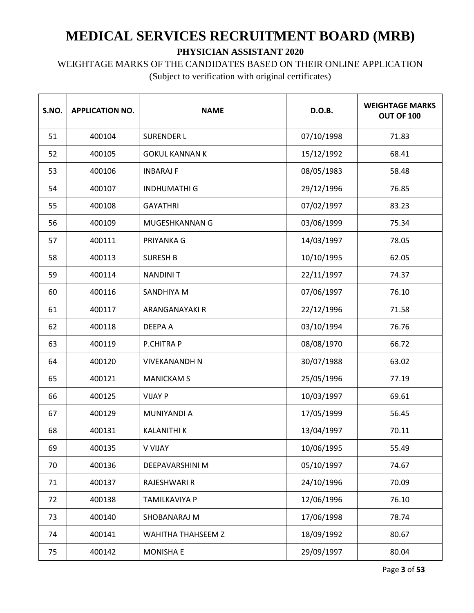# WEIGHTAGE MARKS OF THE CANDIDATES BASED ON THEIR ONLINE APPLICATION

| S.NO. | <b>APPLICATION NO.</b> | <b>NAME</b>           | D.O.B.     | <b>WEIGHTAGE MARKS</b><br>OUT OF 100 |
|-------|------------------------|-----------------------|------------|--------------------------------------|
| 51    | 400104                 | <b>SURENDER L</b>     | 07/10/1998 | 71.83                                |
| 52    | 400105                 | <b>GOKUL KANNAN K</b> | 15/12/1992 | 68.41                                |
| 53    | 400106                 | <b>INBARAJ F</b>      | 08/05/1983 | 58.48                                |
| 54    | 400107                 | <b>INDHUMATHI G</b>   | 29/12/1996 | 76.85                                |
| 55    | 400108                 | <b>GAYATHRI</b>       | 07/02/1997 | 83.23                                |
| 56    | 400109                 | MUGESHKANNAN G        | 03/06/1999 | 75.34                                |
| 57    | 400111                 | PRIYANKA G            | 14/03/1997 | 78.05                                |
| 58    | 400113                 | <b>SURESH B</b>       | 10/10/1995 | 62.05                                |
| 59    | 400114                 | <b>NANDINIT</b>       | 22/11/1997 | 74.37                                |
| 60    | 400116                 | SANDHIYA M            | 07/06/1997 | 76.10                                |
| 61    | 400117                 | <b>ARANGANAYAKI R</b> | 22/12/1996 | 71.58                                |
| 62    | 400118                 | <b>DEEPA A</b>        | 03/10/1994 | 76.76                                |
| 63    | 400119                 | P.CHITRA P            | 08/08/1970 | 66.72                                |
| 64    | 400120                 | <b>VIVEKANANDH N</b>  | 30/07/1988 | 63.02                                |
| 65    | 400121                 | <b>MANICKAM S</b>     | 25/05/1996 | 77.19                                |
| 66    | 400125                 | <b>VIJAY P</b>        | 10/03/1997 | 69.61                                |
| 67    | 400129                 | <b>MUNIYANDI A</b>    | 17/05/1999 | 56.45                                |
| 68    | 400131                 | <b>KALANITHI K</b>    | 13/04/1997 | 70.11                                |
| 69    | 400135                 | <b>V VIJAY</b>        | 10/06/1995 | 55.49                                |
| 70    | 400136                 | DEEPAVARSHINI M       | 05/10/1997 | 74.67                                |
| 71    | 400137                 | RAJESHWARI R          | 24/10/1996 | 70.09                                |
| 72    | 400138                 | TAMILKAVIYA P         | 12/06/1996 | 76.10                                |
| 73    | 400140                 | SHOBANARAJ M          | 17/06/1998 | 78.74                                |
| 74    | 400141                 | WAHITHA THAHSEEM Z    | 18/09/1992 | 80.67                                |
| 75    | 400142                 | <b>MONISHA E</b>      | 29/09/1997 | 80.04                                |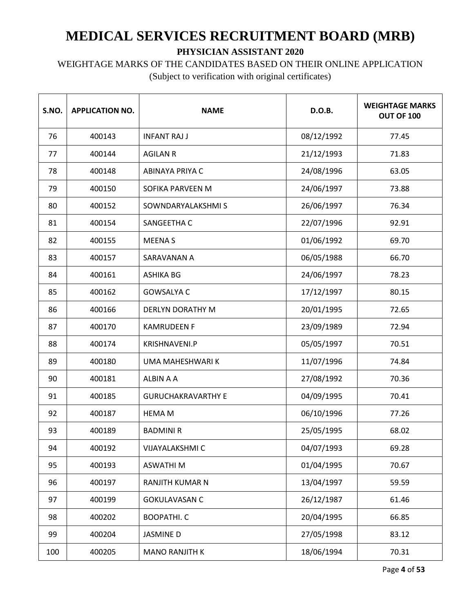### WEIGHTAGE MARKS OF THE CANDIDATES BASED ON THEIR ONLINE APPLICATION

| S.NO. | <b>APPLICATION NO.</b> | <b>NAME</b>               | D.O.B.     | <b>WEIGHTAGE MARKS</b><br>OUT OF 100 |
|-------|------------------------|---------------------------|------------|--------------------------------------|
| 76    | 400143                 | <b>INFANT RAJ J</b>       | 08/12/1992 | 77.45                                |
| 77    | 400144                 | <b>AGILAN R</b>           | 21/12/1993 | 71.83                                |
| 78    | 400148                 | ABINAYA PRIYA C           | 24/08/1996 | 63.05                                |
| 79    | 400150                 | SOFIKA PARVEEN M          | 24/06/1997 | 73.88                                |
| 80    | 400152                 | SOWNDARYALAKSHMIS         | 26/06/1997 | 76.34                                |
| 81    | 400154                 | SANGEETHA C               | 22/07/1996 | 92.91                                |
| 82    | 400155                 | <b>MEENAS</b>             | 01/06/1992 | 69.70                                |
| 83    | 400157                 | SARAVANAN A               | 06/05/1988 | 66.70                                |
| 84    | 400161                 | <b>ASHIKA BG</b>          | 24/06/1997 | 78.23                                |
| 85    | 400162                 | <b>GOWSALYA C</b>         | 17/12/1997 | 80.15                                |
| 86    | 400166                 | <b>DERLYN DORATHY M</b>   | 20/01/1995 | 72.65                                |
| 87    | 400170                 | <b>KAMRUDEEN F</b>        | 23/09/1989 | 72.94                                |
| 88    | 400174                 | KRISHNAVENI.P             | 05/05/1997 | 70.51                                |
| 89    | 400180                 | UMA MAHESHWARI K          | 11/07/1996 | 74.84                                |
| 90    | 400181                 | ALBIN A A                 | 27/08/1992 | 70.36                                |
| 91    | 400185                 | <b>GURUCHAKRAVARTHY E</b> | 04/09/1995 | 70.41                                |
| 92    | 400187                 | <b>HEMA M</b>             | 06/10/1996 | 77.26                                |
| 93    | 400189                 | <b>BADMINI R</b>          | 25/05/1995 | 68.02                                |
| 94    | 400192                 | VIJAYALAKSHMI C           | 04/07/1993 | 69.28                                |
| 95    | 400193                 | <b>ASWATHIM</b>           | 01/04/1995 | 70.67                                |
| 96    | 400197                 | RANJITH KUMAR N           | 13/04/1997 | 59.59                                |
| 97    | 400199                 | <b>GOKULAVASAN C</b>      | 26/12/1987 | 61.46                                |
| 98    | 400202                 | <b>BOOPATHI. C</b>        | 20/04/1995 | 66.85                                |
| 99    | 400204                 | <b>JASMINE D</b>          | 27/05/1998 | 83.12                                |
| 100   | 400205                 | <b>MANO RANJITH K</b>     | 18/06/1994 | 70.31                                |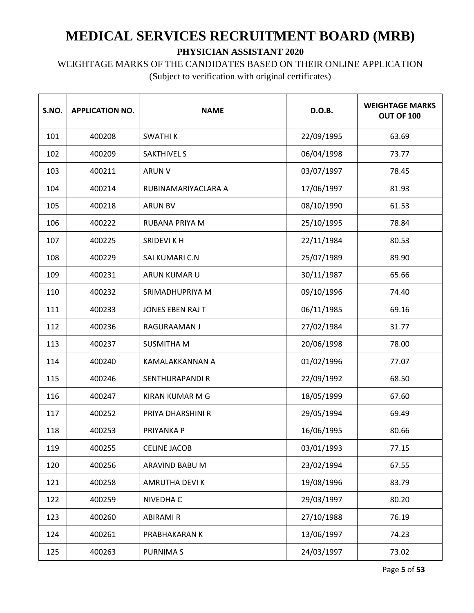WEIGHTAGE MARKS OF THE CANDIDATES BASED ON THEIR ONLINE APPLICATION

| S.NO. | <b>APPLICATION NO.</b> | <b>NAME</b>             | D.O.B.     | <b>WEIGHTAGE MARKS</b><br>OUT OF 100 |
|-------|------------------------|-------------------------|------------|--------------------------------------|
| 101   | 400208                 | <b>SWATHIK</b>          | 22/09/1995 | 63.69                                |
| 102   | 400209                 | <b>SAKTHIVEL S</b>      | 06/04/1998 | 73.77                                |
| 103   | 400211                 | <b>ARUN V</b>           | 03/07/1997 | 78.45                                |
| 104   | 400214                 | RUBINAMARIYACLARA A     | 17/06/1997 | 81.93                                |
| 105   | 400218                 | <b>ARUN BV</b>          | 08/10/1990 | 61.53                                |
| 106   | 400222                 | RUBANA PRIYA M          | 25/10/1995 | 78.84                                |
| 107   | 400225                 | SRIDEVI K H             | 22/11/1984 | 80.53                                |
| 108   | 400229                 | SAI KUMARI C.N          | 25/07/1989 | 89.90                                |
| 109   | 400231                 | ARUN KUMAR U            | 30/11/1987 | 65.66                                |
| 110   | 400232                 | SRIMADHUPRIYA M         | 09/10/1996 | 74.40                                |
| 111   | 400233                 | <b>JONES EBEN RAJ T</b> | 06/11/1985 | 69.16                                |
| 112   | 400236                 | RAGURAAMAN J            | 27/02/1984 | 31.77                                |
| 113   | 400237                 | <b>SUSMITHA M</b>       | 20/06/1998 | 78.00                                |
| 114   | 400240                 | KAMALAKKANNAN A         | 01/02/1996 | 77.07                                |
| 115   | 400246                 | <b>SENTHURAPANDI R</b>  | 22/09/1992 | 68.50                                |
| 116   | 400247                 | KIRAN KUMAR M G         | 18/05/1999 | 67.60                                |
| 117   | 400252                 | PRIYA DHARSHINI R       | 29/05/1994 | 69.49                                |
| 118   | 400253                 | PRIYANKA P              | 16/06/1995 | 80.66                                |
| 119   | 400255                 | <b>CELINE JACOB</b>     | 03/01/1993 | 77.15                                |
| 120   | 400256                 | ARAVIND BABU M          | 23/02/1994 | 67.55                                |
| 121   | 400258                 | <b>AMRUTHA DEVIK</b>    | 19/08/1996 | 83.79                                |
| 122   | 400259                 | NIVEDHA C               | 29/03/1997 | 80.20                                |
| 123   | 400260                 | <b>ABIRAMI R</b>        | 27/10/1988 | 76.19                                |
| 124   | 400261                 | PRABHAKARAN K           | 13/06/1997 | 74.23                                |
| 125   | 400263                 | <b>PURNIMAS</b>         | 24/03/1997 | 73.02                                |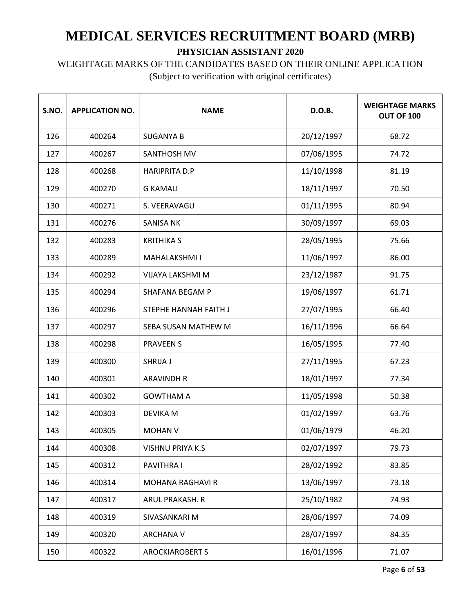## WEIGHTAGE MARKS OF THE CANDIDATES BASED ON THEIR ONLINE APPLICATION

| S.NO. | <b>APPLICATION NO.</b> | <b>NAME</b>             | D.O.B.     | <b>WEIGHTAGE MARKS</b><br>OUT OF 100 |
|-------|------------------------|-------------------------|------------|--------------------------------------|
| 126   | 400264                 | <b>SUGANYA B</b>        | 20/12/1997 | 68.72                                |
| 127   | 400267                 | SANTHOSH MV             | 07/06/1995 | 74.72                                |
| 128   | 400268                 | <b>HARIPRITA D.P</b>    | 11/10/1998 | 81.19                                |
| 129   | 400270                 | <b>G KAMALI</b>         | 18/11/1997 | 70.50                                |
| 130   | 400271                 | S. VEERAVAGU            | 01/11/1995 | 80.94                                |
| 131   | 400276                 | <b>SANISA NK</b>        | 30/09/1997 | 69.03                                |
| 132   | 400283                 | <b>KRITHIKA S</b>       | 28/05/1995 | 75.66                                |
| 133   | 400289                 | MAHALAKSHMI I           | 11/06/1997 | 86.00                                |
| 134   | 400292                 | VIJAYA LAKSHMI M        | 23/12/1987 | 91.75                                |
| 135   | 400294                 | <b>SHAFANA BEGAM P</b>  | 19/06/1997 | 61.71                                |
| 136   | 400296                 | STEPHE HANNAH FAITH J   | 27/07/1995 | 66.40                                |
| 137   | 400297                 | SEBA SUSAN MATHEW M     | 16/11/1996 | 66.64                                |
| 138   | 400298                 | <b>PRAVEEN S</b>        | 16/05/1995 | 77.40                                |
| 139   | 400300                 | SHRIJA J                | 27/11/1995 | 67.23                                |
| 140   | 400301                 | <b>ARAVINDH R</b>       | 18/01/1997 | 77.34                                |
| 141   | 400302                 | <b>GOWTHAM A</b>        | 11/05/1998 | 50.38                                |
| 142   | 400303                 | <b>DEVIKA M</b>         | 01/02/1997 | 63.76                                |
| 143   | 400305                 | <b>MOHAN V</b>          | 01/06/1979 | 46.20                                |
| 144   | 400308                 | <b>VISHNU PRIYA K.S</b> | 02/07/1997 | 79.73                                |
| 145   | 400312                 | PAVITHRA I              | 28/02/1992 | 83.85                                |
| 146   | 400314                 | <b>MOHANA RAGHAVI R</b> | 13/06/1997 | 73.18                                |
| 147   | 400317                 | ARUL PRAKASH. R         | 25/10/1982 | 74.93                                |
| 148   | 400319                 | SIVASANKARI M           | 28/06/1997 | 74.09                                |
| 149   | 400320                 | <b>ARCHANA V</b>        | 28/07/1997 | 84.35                                |
| 150   | 400322                 | <b>AROCKIAROBERT S</b>  | 16/01/1996 | 71.07                                |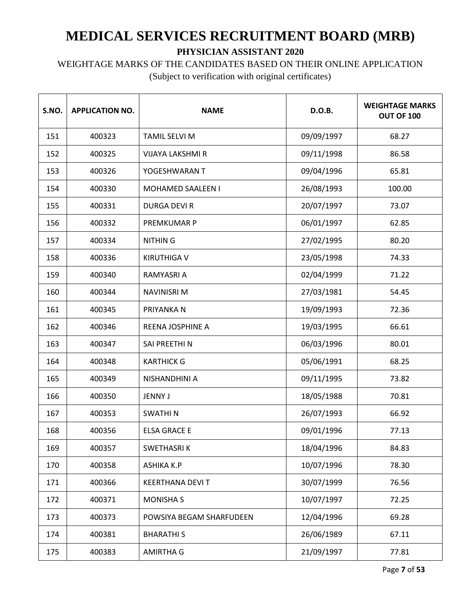# WEIGHTAGE MARKS OF THE CANDIDATES BASED ON THEIR ONLINE APPLICATION

| S.NO. | <b>APPLICATION NO.</b> | <b>NAME</b>              | D.O.B.     | <b>WEIGHTAGE MARKS</b><br>OUT OF 100 |
|-------|------------------------|--------------------------|------------|--------------------------------------|
| 151   | 400323                 | <b>TAMIL SELVI M</b>     | 09/09/1997 | 68.27                                |
| 152   | 400325                 | <b>VIJAYA LAKSHMI R</b>  | 09/11/1998 | 86.58                                |
| 153   | 400326                 | YOGESHWARAN T            | 09/04/1996 | 65.81                                |
| 154   | 400330                 | MOHAMED SAALEEN I        | 26/08/1993 | 100.00                               |
| 155   | 400331                 | <b>DURGA DEVI R</b>      | 20/07/1997 | 73.07                                |
| 156   | 400332                 | PREMKUMAR P              | 06/01/1997 | 62.85                                |
| 157   | 400334                 | <b>NITHING</b>           | 27/02/1995 | 80.20                                |
| 158   | 400336                 | <b>KIRUTHIGA V</b>       | 23/05/1998 | 74.33                                |
| 159   | 400340                 | RAMYASRI A               | 02/04/1999 | 71.22                                |
| 160   | 400344                 | <b>NAVINISRI M</b>       | 27/03/1981 | 54.45                                |
| 161   | 400345                 | PRIYANKA N               | 19/09/1993 | 72.36                                |
| 162   | 400346                 | REENA JOSPHINE A         | 19/03/1995 | 66.61                                |
| 163   | 400347                 | SAI PREETHI N            | 06/03/1996 | 80.01                                |
| 164   | 400348                 | <b>KARTHICK G</b>        | 05/06/1991 | 68.25                                |
| 165   | 400349                 | NISHANDHINI A            | 09/11/1995 | 73.82                                |
| 166   | 400350                 | <b>JENNY J</b>           | 18/05/1988 | 70.81                                |
| 167   | 400353                 | <b>SWATHIN</b>           | 26/07/1993 | 66.92                                |
| 168   | 400356                 | <b>ELSA GRACE E</b>      | 09/01/1996 | 77.13                                |
| 169   | 400357                 | SWETHASRIK               | 18/04/1996 | 84.83                                |
| 170   | 400358                 | <b>ASHIKA K.P</b>        | 10/07/1996 | 78.30                                |
| 171   | 400366                 | <b>KEERTHANA DEVIT</b>   | 30/07/1999 | 76.56                                |
| 172   | 400371                 | <b>MONISHA S</b>         | 10/07/1997 | 72.25                                |
| 173   | 400373                 | POWSIYA BEGAM SHARFUDEEN | 12/04/1996 | 69.28                                |
| 174   | 400381                 | <b>BHARATHIS</b>         | 26/06/1989 | 67.11                                |
| 175   | 400383                 | <b>AMIRTHA G</b>         | 21/09/1997 | 77.81                                |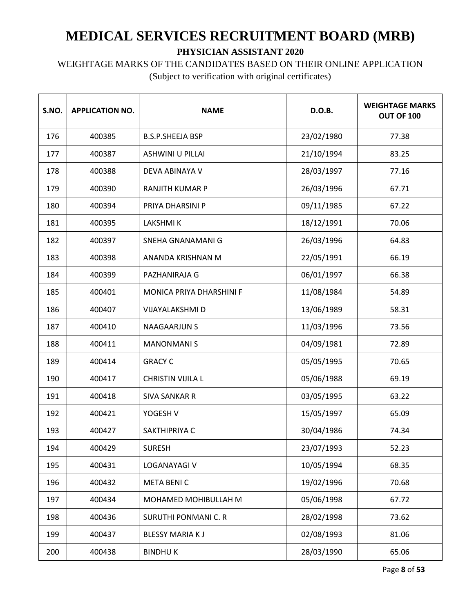WEIGHTAGE MARKS OF THE CANDIDATES BASED ON THEIR ONLINE APPLICATION

| S.NO. | <b>APPLICATION NO.</b> | <b>NAME</b>                     | D.O.B.     | <b>WEIGHTAGE MARKS</b><br><b>OUT OF 100</b> |
|-------|------------------------|---------------------------------|------------|---------------------------------------------|
| 176   | 400385                 | <b>B.S.P.SHEEJA BSP</b>         | 23/02/1980 | 77.38                                       |
| 177   | 400387                 | <b>ASHWINI U PILLAI</b>         | 21/10/1994 | 83.25                                       |
| 178   | 400388                 | DEVA ABINAYA V                  | 28/03/1997 | 77.16                                       |
| 179   | 400390                 | <b>RANJITH KUMAR P</b>          | 26/03/1996 | 67.71                                       |
| 180   | 400394                 | PRIYA DHARSINI P                | 09/11/1985 | 67.22                                       |
| 181   | 400395                 | <b>LAKSHMIK</b>                 | 18/12/1991 | 70.06                                       |
| 182   | 400397                 | SNEHA GNANAMANI G               | 26/03/1996 | 64.83                                       |
| 183   | 400398                 | ANANDA KRISHNAN M               | 22/05/1991 | 66.19                                       |
| 184   | 400399                 | PAZHANIRAJA G                   | 06/01/1997 | 66.38                                       |
| 185   | 400401                 | <b>MONICA PRIYA DHARSHINI F</b> | 11/08/1984 | 54.89                                       |
| 186   | 400407                 | VIJAYALAKSHMI D                 | 13/06/1989 | 58.31                                       |
| 187   | 400410                 | <b>NAAGAARJUN S</b>             | 11/03/1996 | 73.56                                       |
| 188   | 400411                 | <b>MANONMANIS</b>               | 04/09/1981 | 72.89                                       |
| 189   | 400414                 | <b>GRACY C</b>                  | 05/05/1995 | 70.65                                       |
| 190   | 400417                 | <b>CHRISTIN VIJILA L</b>        | 05/06/1988 | 69.19                                       |
| 191   | 400418                 | <b>SIVA SANKAR R</b>            | 03/05/1995 | 63.22                                       |
| 192   | 400421                 | YOGESH V                        | 15/05/1997 | 65.09                                       |
| 193   | 400427                 | SAKTHIPRIYA C                   | 30/04/1986 | 74.34                                       |
| 194   | 400429                 | <b>SURESH</b>                   | 23/07/1993 | 52.23                                       |
| 195   | 400431                 | LOGANAYAGI V                    | 10/05/1994 | 68.35                                       |
| 196   | 400432                 | <b>META BENIC</b>               | 19/02/1996 | 70.68                                       |
| 197   | 400434                 | MOHAMED MOHIBULLAH M            | 05/06/1998 | 67.72                                       |
| 198   | 400436                 | <b>SURUTHI PONMANI C. R</b>     | 28/02/1998 | 73.62                                       |
| 199   | 400437                 | <b>BLESSY MARIAKJ</b>           | 02/08/1993 | 81.06                                       |
| 200   | 400438                 | <b>BINDHUK</b>                  | 28/03/1990 | 65.06                                       |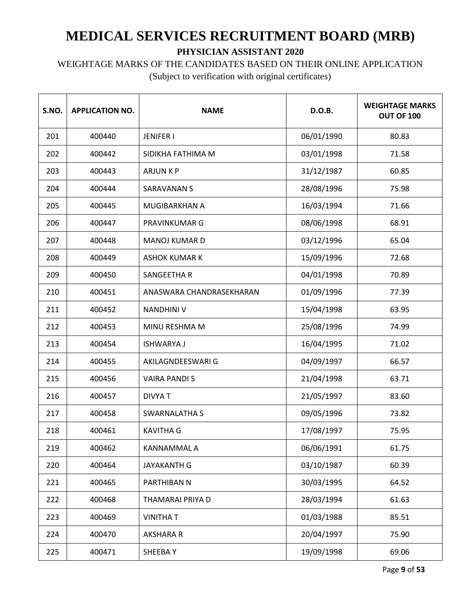WEIGHTAGE MARKS OF THE CANDIDATES BASED ON THEIR ONLINE APPLICATION

| S.NO. | <b>APPLICATION NO.</b> | <b>NAME</b>              | D.O.B.     | <b>WEIGHTAGE MARKS</b><br>OUT OF 100 |
|-------|------------------------|--------------------------|------------|--------------------------------------|
| 201   | 400440                 | <b>JENIFER I</b>         | 06/01/1990 | 80.83                                |
| 202   | 400442                 | SIDIKHA FATHIMA M        | 03/01/1998 | 71.58                                |
| 203   | 400443                 | <b>ARJUNKP</b>           | 31/12/1987 | 60.85                                |
| 204   | 400444                 | <b>SARAVANAN S</b>       | 28/08/1996 | 75.98                                |
| 205   | 400445                 | MUGIBARKHAN A            | 16/03/1994 | 71.66                                |
| 206   | 400447                 | PRAVINKUMAR G            | 08/06/1998 | 68.91                                |
| 207   | 400448                 | <b>MANOJ KUMAR D</b>     | 03/12/1996 | 65.04                                |
| 208   | 400449                 | <b>ASHOK KUMAR K</b>     | 15/09/1996 | 72.68                                |
| 209   | 400450                 | SANGEETHA R              | 04/01/1998 | 70.89                                |
| 210   | 400451                 | ANASWARA CHANDRASEKHARAN | 01/09/1996 | 77.39                                |
| 211   | 400452                 | <b>NANDHINI V</b>        | 15/04/1998 | 63.95                                |
| 212   | 400453                 | MINU RESHMA M            | 25/08/1996 | 74.99                                |
| 213   | 400454                 | <b>ISHWARYA J</b>        | 16/04/1995 | 71.02                                |
| 214   | 400455                 | AKILAGNDEESWARI G        | 04/09/1997 | 66.57                                |
| 215   | 400456                 | <b>VAIRA PANDIS</b>      | 21/04/1998 | 63.71                                |
| 216   | 400457                 | <b>DIVYAT</b>            | 21/05/1997 | 83.60                                |
| 217   | 400458                 | SWARNALATHA S            | 09/05/1996 | 73.82                                |
| 218   | 400461                 | <b>KAVITHA G</b>         | 17/08/1997 | 75.95                                |
| 219   | 400462                 | KANNAMMAL A              | 06/06/1991 | 61.75                                |
| 220   | 400464                 | <b>JAYAKANTH G</b>       | 03/10/1987 | 60.39                                |
| 221   | 400465                 | PARTHIBAN N              | 30/03/1995 | 64.52                                |
| 222   | 400468                 | THAMARAI PRIYA D         | 28/03/1994 | 61.63                                |
| 223   | 400469                 | <b>VINITHAT</b>          | 01/03/1988 | 85.51                                |
| 224   | 400470                 | AKSHARA R                | 20/04/1997 | 75.90                                |
| 225   | 400471                 | SHEEBAY                  | 19/09/1998 | 69.06                                |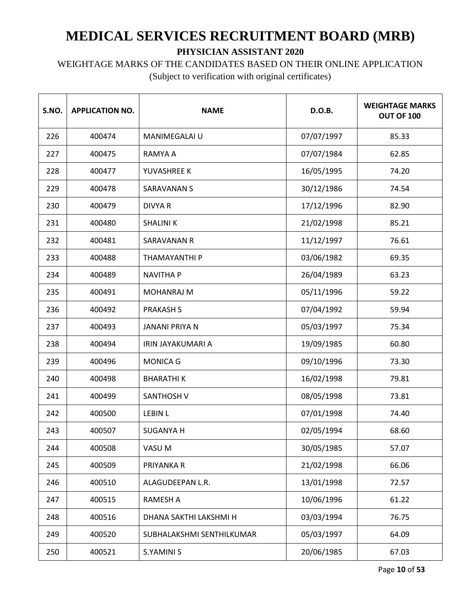WEIGHTAGE MARKS OF THE CANDIDATES BASED ON THEIR ONLINE APPLICATION

| S.NO. | <b>APPLICATION NO.</b> | <b>NAME</b>               | D.O.B.     | <b>WEIGHTAGE MARKS</b><br>OUT OF 100 |
|-------|------------------------|---------------------------|------------|--------------------------------------|
| 226   | 400474                 | <b>MANIMEGALAI U</b>      | 07/07/1997 | 85.33                                |
| 227   | 400475                 | RAMYA A                   | 07/07/1984 | 62.85                                |
| 228   | 400477                 | YUVASHREE K               | 16/05/1995 | 74.20                                |
| 229   | 400478                 | <b>SARAVANAN S</b>        | 30/12/1986 | 74.54                                |
| 230   | 400479                 | <b>DIVYA R</b>            | 17/12/1996 | 82.90                                |
| 231   | 400480                 | <b>SHALINIK</b>           | 21/02/1998 | 85.21                                |
| 232   | 400481                 | SARAVANAN R               | 11/12/1997 | 76.61                                |
| 233   | 400488                 | THAMAYANTHI P             | 03/06/1982 | 69.35                                |
| 234   | 400489                 | <b>NAVITHA P</b>          | 26/04/1989 | 63.23                                |
| 235   | 400491                 | <b>MOHANRAJ M</b>         | 05/11/1996 | 59.22                                |
| 236   | 400492                 | <b>PRAKASH S</b>          | 07/04/1992 | 59.94                                |
| 237   | 400493                 | <b>JANANI PRIYA N</b>     | 05/03/1997 | 75.34                                |
| 238   | 400494                 | IRIN JAYAKUMARI A         | 19/09/1985 | 60.80                                |
| 239   | 400496                 | <b>MONICA G</b>           | 09/10/1996 | 73.30                                |
| 240   | 400498                 | <b>BHARATHIK</b>          | 16/02/1998 | 79.81                                |
| 241   | 400499                 | <b>SANTHOSH V</b>         | 08/05/1998 | 73.81                                |
| 242   | 400500                 | <b>LEBIN L</b>            | 07/01/1998 | 74.40                                |
| 243   | 400507                 | <b>SUGANYA H</b>          | 02/05/1994 | 68.60                                |
| 244   | 400508                 | VASU M                    | 30/05/1985 | 57.07                                |
| 245   | 400509                 | PRIYANKA R                | 21/02/1998 | 66.06                                |
| 246   | 400510                 | ALAGUDEEPAN L.R.          | 13/01/1998 | 72.57                                |
| 247   | 400515                 | <b>RAMESH A</b>           | 10/06/1996 | 61.22                                |
| 248   | 400516                 | DHANA SAKTHI LAKSHMI H    | 03/03/1994 | 76.75                                |
| 249   | 400520                 | SUBHALAKSHMI SENTHILKUMAR | 05/03/1997 | 64.09                                |
| 250   | 400521                 | <b>S.YAMINI S</b>         | 20/06/1985 | 67.03                                |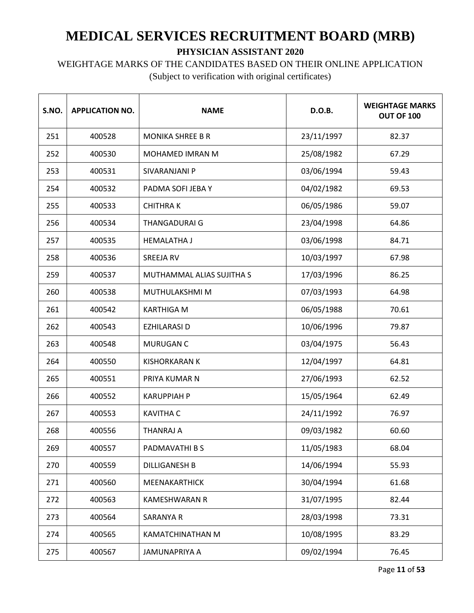WEIGHTAGE MARKS OF THE CANDIDATES BASED ON THEIR ONLINE APPLICATION

| S.NO. | <b>APPLICATION NO.</b> | <b>NAME</b>               | D.O.B.     | <b>WEIGHTAGE MARKS</b><br><b>OUT OF 100</b> |
|-------|------------------------|---------------------------|------------|---------------------------------------------|
| 251   | 400528                 | <b>MONIKA SHREE B R</b>   | 23/11/1997 | 82.37                                       |
| 252   | 400530                 | <b>MOHAMED IMRAN M</b>    | 25/08/1982 | 67.29                                       |
| 253   | 400531                 | SIVARANJANI P             | 03/06/1994 | 59.43                                       |
| 254   | 400532                 | PADMA SOFI JEBA Y         | 04/02/1982 | 69.53                                       |
| 255   | 400533                 | <b>CHITHRAK</b>           | 06/05/1986 | 59.07                                       |
| 256   | 400534                 | <b>THANGADURAI G</b>      | 23/04/1998 | 64.86                                       |
| 257   | 400535                 | <b>HEMALATHA J</b>        | 03/06/1998 | 84.71                                       |
| 258   | 400536                 | <b>SREEJA RV</b>          | 10/03/1997 | 67.98                                       |
| 259   | 400537                 | MUTHAMMAL ALIAS SUJITHA S | 17/03/1996 | 86.25                                       |
| 260   | 400538                 | MUTHULAKSHMI M            | 07/03/1993 | 64.98                                       |
| 261   | 400542                 | <b>KARTHIGA M</b>         | 06/05/1988 | 70.61                                       |
| 262   | 400543                 | <b>EZHILARASI D</b>       | 10/06/1996 | 79.87                                       |
| 263   | 400548                 | MURUGAN C                 | 03/04/1975 | 56.43                                       |
| 264   | 400550                 | <b>KISHORKARAN K</b>      | 12/04/1997 | 64.81                                       |
| 265   | 400551                 | PRIYA KUMAR N             | 27/06/1993 | 62.52                                       |
| 266   | 400552                 | <b>KARUPPIAH P</b>        | 15/05/1964 | 62.49                                       |
| 267   | 400553                 | <b>KAVITHA C</b>          | 24/11/1992 | 76.97                                       |
| 268   | 400556                 | <b>THANRAJ A</b>          | 09/03/1982 | 60.60                                       |
| 269   | 400557                 | PADMAVATHI B S            | 11/05/1983 | 68.04                                       |
| 270   | 400559                 | <b>DILLIGANESH B</b>      | 14/06/1994 | 55.93                                       |
| 271   | 400560                 | MEENAKARTHICK             | 30/04/1994 | 61.68                                       |
| 272   | 400563                 | <b>KAMESHWARAN R</b>      | 31/07/1995 | 82.44                                       |
| 273   | 400564                 | SARANYA R                 | 28/03/1998 | 73.31                                       |
| 274   | 400565                 | KAMATCHINATHAN M          | 10/08/1995 | 83.29                                       |
| 275   | 400567                 | JAMUNAPRIYA A             | 09/02/1994 | 76.45                                       |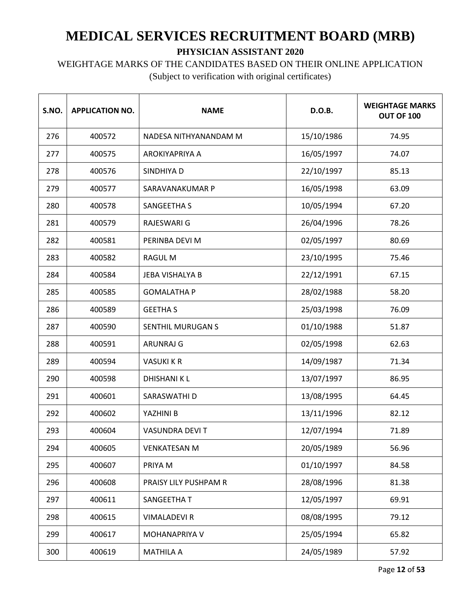## WEIGHTAGE MARKS OF THE CANDIDATES BASED ON THEIR ONLINE APPLICATION

| S.NO. | <b>APPLICATION NO.</b> | <b>NAME</b>            | D.O.B.     | <b>WEIGHTAGE MARKS</b><br>OUT OF 100 |
|-------|------------------------|------------------------|------------|--------------------------------------|
| 276   | 400572                 | NADESA NITHYANANDAM M  | 15/10/1986 | 74.95                                |
| 277   | 400575                 | AROKIYAPRIYA A         | 16/05/1997 | 74.07                                |
| 278   | 400576                 | SINDHIYA D             | 22/10/1997 | 85.13                                |
| 279   | 400577                 | SARAVANAKUMAR P        | 16/05/1998 | 63.09                                |
| 280   | 400578                 | <b>SANGEETHA S</b>     | 10/05/1994 | 67.20                                |
| 281   | 400579                 | RAJESWARI G            | 26/04/1996 | 78.26                                |
| 282   | 400581                 | PERINBA DEVI M         | 02/05/1997 | 80.69                                |
| 283   | 400582                 | <b>RAGUL M</b>         | 23/10/1995 | 75.46                                |
| 284   | 400584                 | <b>JEBA VISHALYA B</b> | 22/12/1991 | 67.15                                |
| 285   | 400585                 | <b>GOMALATHA P</b>     | 28/02/1988 | 58.20                                |
| 286   | 400589                 | <b>GEETHA S</b>        | 25/03/1998 | 76.09                                |
| 287   | 400590                 | SENTHIL MURUGAN S      | 01/10/1988 | 51.87                                |
| 288   | 400591                 | <b>ARUNRAJ G</b>       | 02/05/1998 | 62.63                                |
| 289   | 400594                 | <b>VASUKI K R</b>      | 14/09/1987 | 71.34                                |
| 290   | 400598                 | <b>DHISHANIKL</b>      | 13/07/1997 | 86.95                                |
| 291   | 400601                 | SARASWATHI D           | 13/08/1995 | 64.45                                |
| 292   | 400602                 | YAZHINI B              | 13/11/1996 | 82.12                                |
| 293   | 400604                 | <b>VASUNDRA DEVIT</b>  | 12/07/1994 | 71.89                                |
| 294   | 400605                 | <b>VENKATESAN M</b>    | 20/05/1989 | 56.96                                |
| 295   | 400607                 | PRIYA M                | 01/10/1997 | 84.58                                |
| 296   | 400608                 | PRAISY LILY PUSHPAM R  | 28/08/1996 | 81.38                                |
| 297   | 400611                 | SANGEETHA T            | 12/05/1997 | 69.91                                |
| 298   | 400615                 | <b>VIMALADEVI R</b>    | 08/08/1995 | 79.12                                |
| 299   | 400617                 | MOHANAPRIYA V          | 25/05/1994 | 65.82                                |
| 300   | 400619                 | <b>MATHILA A</b>       | 24/05/1989 | 57.92                                |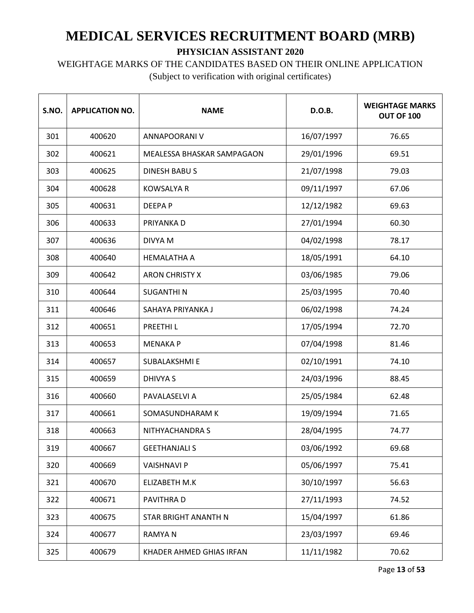### WEIGHTAGE MARKS OF THE CANDIDATES BASED ON THEIR ONLINE APPLICATION

| S.NO. | <b>APPLICATION NO.</b> | <b>NAME</b>                | D.O.B.     | <b>WEIGHTAGE MARKS</b><br><b>OUT OF 100</b> |
|-------|------------------------|----------------------------|------------|---------------------------------------------|
| 301   | 400620                 | ANNAPOORANI V              | 16/07/1997 | 76.65                                       |
| 302   | 400621                 | MEALESSA BHASKAR SAMPAGAON | 29/01/1996 | 69.51                                       |
| 303   | 400625                 | <b>DINESH BABUS</b>        | 21/07/1998 | 79.03                                       |
| 304   | 400628                 | <b>KOWSALYA R</b>          | 09/11/1997 | 67.06                                       |
| 305   | 400631                 | <b>DEEPAP</b>              | 12/12/1982 | 69.63                                       |
| 306   | 400633                 | PRIYANKA D                 | 27/01/1994 | 60.30                                       |
| 307   | 400636                 | DIVYA M                    | 04/02/1998 | 78.17                                       |
| 308   | 400640                 | <b>HEMALATHA A</b>         | 18/05/1991 | 64.10                                       |
| 309   | 400642                 | <b>ARON CHRISTY X</b>      | 03/06/1985 | 79.06                                       |
| 310   | 400644                 | <b>SUGANTHIN</b>           | 25/03/1995 | 70.40                                       |
| 311   | 400646                 | SAHAYA PRIYANKA J          | 06/02/1998 | 74.24                                       |
| 312   | 400651                 | PREETHI L                  | 17/05/1994 | 72.70                                       |
| 313   | 400653                 | <b>MENAKA P</b>            | 07/04/1998 | 81.46                                       |
| 314   | 400657                 | <b>SUBALAKSHMI E</b>       | 02/10/1991 | 74.10                                       |
| 315   | 400659                 | <b>DHIVYA S</b>            | 24/03/1996 | 88.45                                       |
| 316   | 400660                 | PAVALASELVI A              | 25/05/1984 | 62.48                                       |
| 317   | 400661                 | SOMASUNDHARAM K            | 19/09/1994 | 71.65                                       |
| 318   | 400663                 | NITHYACHANDRA S            | 28/04/1995 | 74.77                                       |
| 319   | 400667                 | <b>GEETHANJALI S</b>       | 03/06/1992 | 69.68                                       |
| 320   | 400669                 | <b>VAISHNAVI P</b>         | 05/06/1997 | 75.41                                       |
| 321   | 400670                 | ELIZABETH M.K              | 30/10/1997 | 56.63                                       |
| 322   | 400671                 | PAVITHRA D                 | 27/11/1993 | 74.52                                       |
| 323   | 400675                 | STAR BRIGHT ANANTH N       | 15/04/1997 | 61.86                                       |
| 324   | 400677                 | <b>RAMYAN</b>              | 23/03/1997 | 69.46                                       |
| 325   | 400679                 | KHADER AHMED GHIAS IRFAN   | 11/11/1982 | 70.62                                       |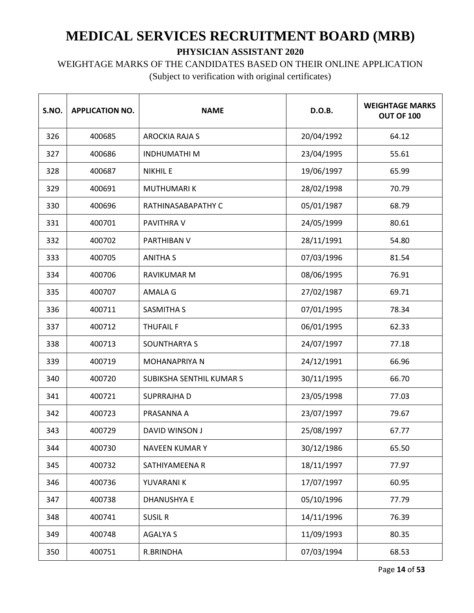WEIGHTAGE MARKS OF THE CANDIDATES BASED ON THEIR ONLINE APPLICATION

| S.NO. | <b>APPLICATION NO.</b> | <b>NAME</b>              | D.O.B.     | <b>WEIGHTAGE MARKS</b><br>OUT OF 100 |
|-------|------------------------|--------------------------|------------|--------------------------------------|
| 326   | 400685                 | <b>AROCKIA RAJA S</b>    | 20/04/1992 | 64.12                                |
| 327   | 400686                 | <b>INDHUMATHIM</b>       | 23/04/1995 | 55.61                                |
| 328   | 400687                 | <b>NIKHIL E</b>          | 19/06/1997 | 65.99                                |
| 329   | 400691                 | <b>MUTHUMARIK</b>        | 28/02/1998 | 70.79                                |
| 330   | 400696                 | RATHINASABAPATHY C       | 05/01/1987 | 68.79                                |
| 331   | 400701                 | PAVITHRA V               | 24/05/1999 | 80.61                                |
| 332   | 400702                 | PARTHIBAN V              | 28/11/1991 | 54.80                                |
| 333   | 400705                 | <b>ANITHA S</b>          | 07/03/1996 | 81.54                                |
| 334   | 400706                 | <b>RAVIKUMAR M</b>       | 08/06/1995 | 76.91                                |
| 335   | 400707                 | AMALA G                  | 27/02/1987 | 69.71                                |
| 336   | 400711                 | <b>SASMITHA S</b>        | 07/01/1995 | 78.34                                |
| 337   | 400712                 | <b>THUFAIL F</b>         | 06/01/1995 | 62.33                                |
| 338   | 400713                 | SOUNTHARYA S             | 24/07/1997 | 77.18                                |
| 339   | 400719                 | <b>MOHANAPRIYA N</b>     | 24/12/1991 | 66.96                                |
| 340   | 400720                 | SUBIKSHA SENTHIL KUMAR S | 30/11/1995 | 66.70                                |
| 341   | 400721                 | <b>SUPRRAJHA D</b>       | 23/05/1998 | 77.03                                |
| 342   | 400723                 | PRASANNA A               | 23/07/1997 | 79.67                                |
| 343   | 400729                 | DAVID WINSON J           | 25/08/1997 | 67.77                                |
| 344   | 400730                 | <b>NAVEEN KUMARY</b>     | 30/12/1986 | 65.50                                |
| 345   | 400732                 | SATHIYAMEENA R           | 18/11/1997 | 77.97                                |
| 346   | 400736                 | YUVARANI K               | 17/07/1997 | 60.95                                |
| 347   | 400738                 | <b>DHANUSHYA E</b>       | 05/10/1996 | 77.79                                |
| 348   | 400741                 | <b>SUSIL R</b>           | 14/11/1996 | 76.39                                |
| 349   | 400748                 | <b>AGALYA S</b>          | 11/09/1993 | 80.35                                |
| 350   | 400751                 | R.BRINDHA                | 07/03/1994 | 68.53                                |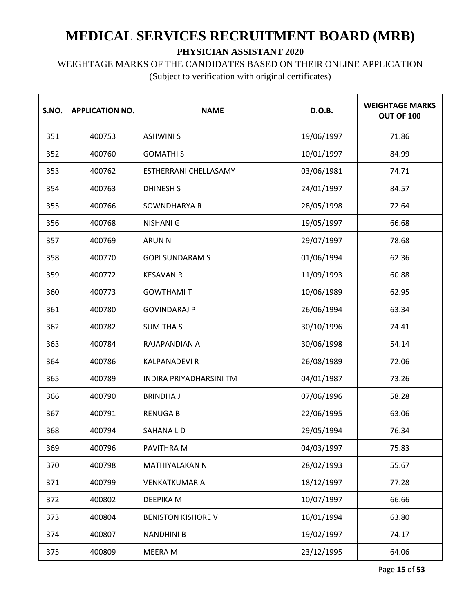#### WEIGHTAGE MARKS OF THE CANDIDATES BASED ON THEIR ONLINE APPLICATION

| S.NO. | <b>APPLICATION NO.</b> | <b>NAME</b>               | D.O.B.     | <b>WEIGHTAGE MARKS</b><br>OUT OF 100 |
|-------|------------------------|---------------------------|------------|--------------------------------------|
| 351   | 400753                 | <b>ASHWINI S</b>          | 19/06/1997 | 71.86                                |
| 352   | 400760                 | <b>GOMATHIS</b>           | 10/01/1997 | 84.99                                |
| 353   | 400762                 | ESTHERRANI CHELLASAMY     | 03/06/1981 | 74.71                                |
| 354   | 400763                 | <b>DHINESH S</b>          | 24/01/1997 | 84.57                                |
| 355   | 400766                 | SOWNDHARYA R              | 28/05/1998 | 72.64                                |
| 356   | 400768                 | <b>NISHANI G</b>          | 19/05/1997 | 66.68                                |
| 357   | 400769                 | <b>ARUN N</b>             | 29/07/1997 | 78.68                                |
| 358   | 400770                 | <b>GOPI SUNDARAM S</b>    | 01/06/1994 | 62.36                                |
| 359   | 400772                 | <b>KESAVAN R</b>          | 11/09/1993 | 60.88                                |
| 360   | 400773                 | <b>GOWTHAMIT</b>          | 10/06/1989 | 62.95                                |
| 361   | 400780                 | <b>GOVINDARAJ P</b>       | 26/06/1994 | 63.34                                |
| 362   | 400782                 | <b>SUMITHA S</b>          | 30/10/1996 | 74.41                                |
| 363   | 400784                 | RAJAPANDIAN A             | 30/06/1998 | 54.14                                |
| 364   | 400786                 | <b>KALPANADEVI R</b>      | 26/08/1989 | 72.06                                |
| 365   | 400789                 | INDIRA PRIYADHARSINI TM   | 04/01/1987 | 73.26                                |
| 366   | 400790                 | <b>BRINDHAJ</b>           | 07/06/1996 | 58.28                                |
| 367   | 400791                 | <b>RENUGAB</b>            | 22/06/1995 | 63.06                                |
| 368   | 400794                 | <b>SAHANALD</b>           | 29/05/1994 | 76.34                                |
| 369   | 400796                 | PAVITHRA M                | 04/03/1997 | 75.83                                |
| 370   | 400798                 | MATHIYALAKAN N            | 28/02/1993 | 55.67                                |
| 371   | 400799                 | <b>VENKATKUMAR A</b>      | 18/12/1997 | 77.28                                |
| 372   | 400802                 | <b>DEEPIKA M</b>          | 10/07/1997 | 66.66                                |
| 373   | 400804                 | <b>BENISTON KISHORE V</b> | 16/01/1994 | 63.80                                |
| 374   | 400807                 | <b>NANDHINI B</b>         | 19/02/1997 | 74.17                                |
| 375   | 400809                 | MEERA M                   | 23/12/1995 | 64.06                                |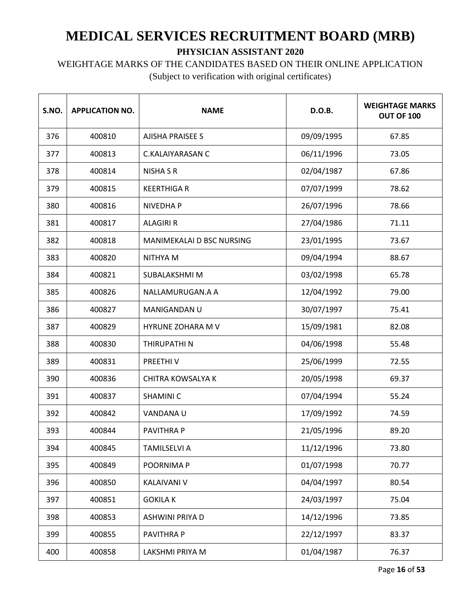WEIGHTAGE MARKS OF THE CANDIDATES BASED ON THEIR ONLINE APPLICATION

| S.NO. | <b>APPLICATION NO.</b> | <b>NAME</b>               | D.O.B.     | <b>WEIGHTAGE MARKS</b><br><b>OUT OF 100</b> |
|-------|------------------------|---------------------------|------------|---------------------------------------------|
| 376   | 400810                 | <b>AJISHA PRAISEE S</b>   | 09/09/1995 | 67.85                                       |
| 377   | 400813                 | <b>C.KALAIYARASAN C</b>   | 06/11/1996 | 73.05                                       |
| 378   | 400814                 | <b>NISHA S R</b>          | 02/04/1987 | 67.86                                       |
| 379   | 400815                 | <b>KEERTHIGA R</b>        | 07/07/1999 | 78.62                                       |
| 380   | 400816                 | <b>NIVEDHAP</b>           | 26/07/1996 | 78.66                                       |
| 381   | 400817                 | <b>ALAGIRI R</b>          | 27/04/1986 | 71.11                                       |
| 382   | 400818                 | MANIMEKALAI D BSC NURSING | 23/01/1995 | 73.67                                       |
| 383   | 400820                 | NITHYA M                  | 09/04/1994 | 88.67                                       |
| 384   | 400821                 | SUBALAKSHMI M             | 03/02/1998 | 65.78                                       |
| 385   | 400826                 | NALLAMURUGAN.A A          | 12/04/1992 | 79.00                                       |
| 386   | 400827                 | MANIGANDAN U              | 30/07/1997 | 75.41                                       |
| 387   | 400829                 | <b>HYRUNE ZOHARA M V</b>  | 15/09/1981 | 82.08                                       |
| 388   | 400830                 | THIRUPATHI N              | 04/06/1998 | 55.48                                       |
| 389   | 400831                 | PREETHIV                  | 25/06/1999 | 72.55                                       |
| 390   | 400836                 | <b>CHITRA KOWSALYA K</b>  | 20/05/1998 | 69.37                                       |
| 391   | 400837                 | <b>SHAMINIC</b>           | 07/04/1994 | 55.24                                       |
| 392   | 400842                 | VANDANA U                 | 17/09/1992 | 74.59                                       |
| 393   | 400844                 | <b>PAVITHRAP</b>          | 21/05/1996 | 89.20                                       |
| 394   | 400845                 | <b>TAMILSELVI A</b>       | 11/12/1996 | 73.80                                       |
| 395   | 400849                 | POORNIMA P                | 01/07/1998 | 70.77                                       |
| 396   | 400850                 | <b>KALAIVANI V</b>        | 04/04/1997 | 80.54                                       |
| 397   | 400851                 | <b>GOKILA K</b>           | 24/03/1997 | 75.04                                       |
| 398   | 400853                 | ASHWINI PRIYA D           | 14/12/1996 | 73.85                                       |
| 399   | 400855                 | PAVITHRA P                | 22/12/1997 | 83.37                                       |
| 400   | 400858                 | LAKSHMI PRIYA M           | 01/04/1987 | 76.37                                       |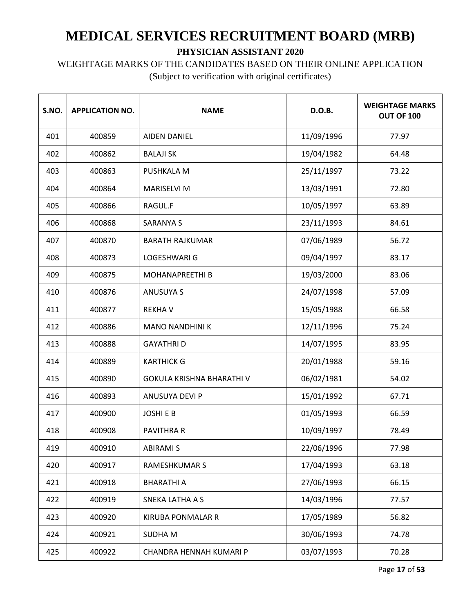WEIGHTAGE MARKS OF THE CANDIDATES BASED ON THEIR ONLINE APPLICATION

| S.NO. | <b>APPLICATION NO.</b> | <b>NAME</b>               | D.O.B.     | <b>WEIGHTAGE MARKS</b><br><b>OUT OF 100</b> |
|-------|------------------------|---------------------------|------------|---------------------------------------------|
| 401   | 400859                 | <b>AIDEN DANIEL</b>       | 11/09/1996 | 77.97                                       |
| 402   | 400862                 | <b>BALAJI SK</b>          | 19/04/1982 | 64.48                                       |
| 403   | 400863                 | PUSHKALA M                | 25/11/1997 | 73.22                                       |
| 404   | 400864                 | <b>MARISELVI M</b>        | 13/03/1991 | 72.80                                       |
| 405   | 400866                 | RAGUL.F                   | 10/05/1997 | 63.89                                       |
| 406   | 400868                 | <b>SARANYA S</b>          | 23/11/1993 | 84.61                                       |
| 407   | 400870                 | <b>BARATH RAJKUMAR</b>    | 07/06/1989 | 56.72                                       |
| 408   | 400873                 | LOGESHWARI G              | 09/04/1997 | 83.17                                       |
| 409   | 400875                 | <b>MOHANAPREETHI B</b>    | 19/03/2000 | 83.06                                       |
| 410   | 400876                 | <b>ANUSUYA S</b>          | 24/07/1998 | 57.09                                       |
| 411   | 400877                 | <b>REKHAV</b>             | 15/05/1988 | 66.58                                       |
| 412   | 400886                 | <b>MANO NANDHINI K</b>    | 12/11/1996 | 75.24                                       |
| 413   | 400888                 | <b>GAYATHRID</b>          | 14/07/1995 | 83.95                                       |
| 414   | 400889                 | <b>KARTHICK G</b>         | 20/01/1988 | 59.16                                       |
| 415   | 400890                 | GOKULA KRISHNA BHARATHI V | 06/02/1981 | 54.02                                       |
| 416   | 400893                 | ANUSUYA DEVI P            | 15/01/1992 | 67.71                                       |
| 417   | 400900                 | <b>JOSHIEB</b>            | 01/05/1993 | 66.59                                       |
| 418   | 400908                 | <b>PAVITHRA R</b>         | 10/09/1997 | 78.49                                       |
| 419   | 400910                 | <b>ABIRAMI S</b>          | 22/06/1996 | 77.98                                       |
| 420   | 400917                 | <b>RAMESHKUMAR S</b>      | 17/04/1993 | 63.18                                       |
| 421   | 400918                 | <b>BHARATHI A</b>         | 27/06/1993 | 66.15                                       |
| 422   | 400919                 | <b>SNEKA LATHA A S</b>    | 14/03/1996 | 77.57                                       |
| 423   | 400920                 | <b>KIRUBA PONMALAR R</b>  | 17/05/1989 | 56.82                                       |
| 424   | 400921                 | <b>SUDHAM</b>             | 30/06/1993 | 74.78                                       |
| 425   | 400922                 | CHANDRA HENNAH KUMARI P   | 03/07/1993 | 70.28                                       |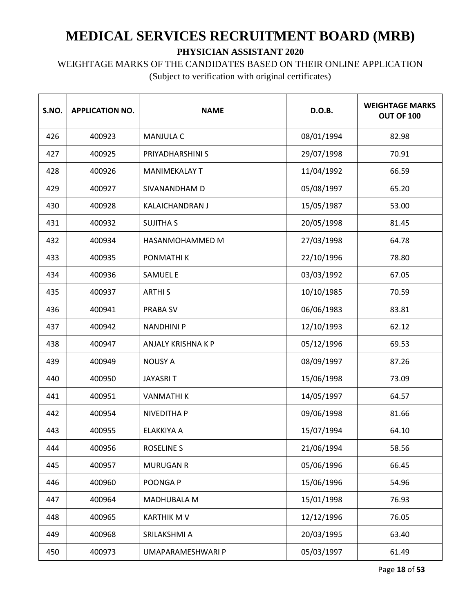# WEIGHTAGE MARKS OF THE CANDIDATES BASED ON THEIR ONLINE APPLICATION

| S.NO. | <b>APPLICATION NO.</b> | <b>NAME</b>               | <b>D.O.B.</b> | <b>WEIGHTAGE MARKS</b><br>OUT OF 100 |
|-------|------------------------|---------------------------|---------------|--------------------------------------|
| 426   | 400923                 | <b>MANJULA C</b>          | 08/01/1994    | 82.98                                |
| 427   | 400925                 | PRIYADHARSHINI S          | 29/07/1998    | 70.91                                |
| 428   | 400926                 | <b>MANIMEKALAY T</b>      | 11/04/1992    | 66.59                                |
| 429   | 400927                 | SIVANANDHAM D             | 05/08/1997    | 65.20                                |
| 430   | 400928                 | KALAICHANDRAN J           | 15/05/1987    | 53.00                                |
| 431   | 400932                 | <b>SUJITHA S</b>          | 20/05/1998    | 81.45                                |
| 432   | 400934                 | HASANMOHAMMED M           | 27/03/1998    | 64.78                                |
| 433   | 400935                 | PONMATHI K                | 22/10/1996    | 78.80                                |
| 434   | 400936                 | <b>SAMUEL E</b>           | 03/03/1992    | 67.05                                |
| 435   | 400937                 | <b>ARTHIS</b>             | 10/10/1985    | 70.59                                |
| 436   | 400941                 | <b>PRABA SV</b>           | 06/06/1983    | 83.81                                |
| 437   | 400942                 | <b>NANDHINI P</b>         | 12/10/1993    | 62.12                                |
| 438   | 400947                 | <b>ANJALY KRISHNA K P</b> | 05/12/1996    | 69.53                                |
| 439   | 400949                 | <b>NOUSY A</b>            | 08/09/1997    | 87.26                                |
| 440   | 400950                 | <b>JAYASRIT</b>           | 15/06/1998    | 73.09                                |
| 441   | 400951                 | <b>VANMATHIK</b>          | 14/05/1997    | 64.57                                |
| 442   | 400954                 | <b>NIVEDITHA P</b>        | 09/06/1998    | 81.66                                |
| 443   | 400955                 | ELAKKIYA A                | 15/07/1994    | 64.10                                |
| 444   | 400956                 | <b>ROSELINE S</b>         | 21/06/1994    | 58.56                                |
| 445   | 400957                 | <b>MURUGAN R</b>          | 05/06/1996    | 66.45                                |
| 446   | 400960                 | POONGA P                  | 15/06/1996    | 54.96                                |
| 447   | 400964                 | <b>MADHUBALA M</b>        | 15/01/1998    | 76.93                                |
| 448   | 400965                 | <b>KARTHIK M V</b>        | 12/12/1996    | 76.05                                |
| 449   | 400968                 | SRILAKSHMI A              | 20/03/1995    | 63.40                                |
| 450   | 400973                 | UMAPARAMESHWARI P         | 05/03/1997    | 61.49                                |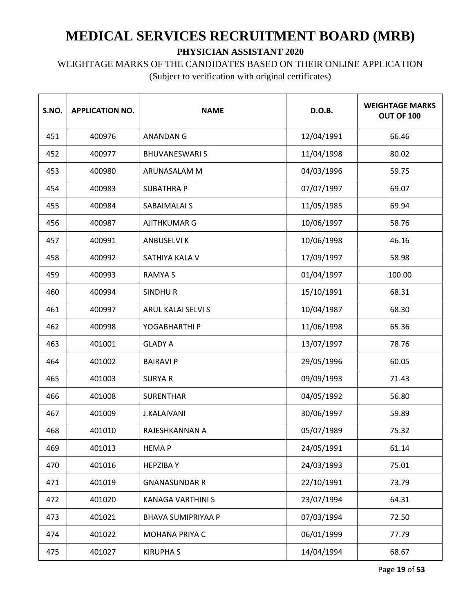# WEIGHTAGE MARKS OF THE CANDIDATES BASED ON THEIR ONLINE APPLICATION

| S.NO. | <b>APPLICATION NO.</b> | <b>NAME</b>               | D.O.B.     | <b>WEIGHTAGE MARKS</b><br>OUT OF 100 |
|-------|------------------------|---------------------------|------------|--------------------------------------|
| 451   | 400976                 | ANANDAN G                 | 12/04/1991 | 66.46                                |
| 452   | 400977                 | <b>BHUVANESWARIS</b>      | 11/04/1998 | 80.02                                |
| 453   | 400980                 | ARUNASALAM M              | 04/03/1996 | 59.75                                |
| 454   | 400983                 | <b>SUBATHRA P</b>         | 07/07/1997 | 69.07                                |
| 455   | 400984                 | SABAIMALAI S              | 11/05/1985 | 69.94                                |
| 456   | 400987                 | <b>AJITHKUMAR G</b>       | 10/06/1997 | 58.76                                |
| 457   | 400991                 | <b>ANBUSELVI K</b>        | 10/06/1998 | 46.16                                |
| 458   | 400992                 | SATHIYA KALA V            | 17/09/1997 | 58.98                                |
| 459   | 400993                 | <b>RAMYAS</b>             | 01/04/1997 | 100.00                               |
| 460   | 400994                 | <b>SINDHUR</b>            | 15/10/1991 | 68.31                                |
| 461   | 400997                 | <b>ARUL KALAI SELVI S</b> | 10/04/1987 | 68.30                                |
| 462   | 400998                 | YOGABHARTHI P             | 11/06/1998 | 65.36                                |
| 463   | 401001                 | <b>GLADY A</b>            | 13/07/1997 | 78.76                                |
| 464   | 401002                 | <b>BAIRAVI P</b>          | 29/05/1996 | 60.05                                |
| 465   | 401003                 | <b>SURYAR</b>             | 09/09/1993 | 71.43                                |
| 466   | 401008                 | <b>SURENTHAR</b>          | 04/05/1992 | 56.80                                |
| 467   | 401009                 | <b>J.KALAIVANI</b>        | 30/06/1997 | 59.89                                |
| 468   | 401010                 | RAJESHKANNAN A            | 05/07/1989 | 75.32                                |
| 469   | 401013                 | <b>HEMAP</b>              | 24/05/1991 | 61.14                                |
| 470   | 401016                 | <b>HEPZIBAY</b>           | 24/03/1993 | 75.01                                |
| 471   | 401019                 | <b>GNANASUNDAR R</b>      | 22/10/1991 | 73.79                                |
| 472   | 401020                 | KANAGA VARTHINI S         | 23/07/1994 | 64.31                                |
| 473   | 401021                 | <b>BHAVA SUMIPRIYAA P</b> | 07/03/1994 | 72.50                                |
| 474   | 401022                 | MOHANA PRIYA C            | 06/01/1999 | 77.79                                |
| 475   | 401027                 | <b>KIRUPHAS</b>           | 14/04/1994 | 68.67                                |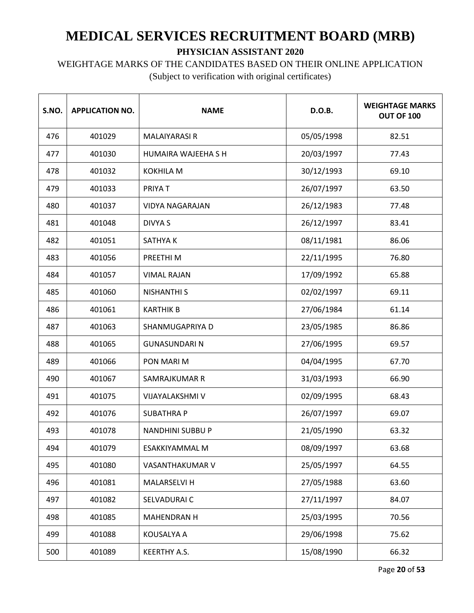WEIGHTAGE MARKS OF THE CANDIDATES BASED ON THEIR ONLINE APPLICATION

| S.NO. | <b>APPLICATION NO.</b> | <b>NAME</b>             | D.O.B.     | <b>WEIGHTAGE MARKS</b><br><b>OUT OF 100</b> |
|-------|------------------------|-------------------------|------------|---------------------------------------------|
| 476   | 401029                 | <b>MALAIYARASI R</b>    | 05/05/1998 | 82.51                                       |
| 477   | 401030                 | HUMAIRA WAJEEHA S H     | 20/03/1997 | 77.43                                       |
| 478   | 401032                 | <b>KOKHILA M</b>        | 30/12/1993 | 69.10                                       |
| 479   | 401033                 | PRIYA T                 | 26/07/1997 | 63.50                                       |
| 480   | 401037                 | <b>VIDYA NAGARAJAN</b>  | 26/12/1983 | 77.48                                       |
| 481   | 401048                 | <b>DIVYA S</b>          | 26/12/1997 | 83.41                                       |
| 482   | 401051                 | SATHYA K                | 08/11/1981 | 86.06                                       |
| 483   | 401056                 | PREETHI M               | 22/11/1995 | 76.80                                       |
| 484   | 401057                 | <b>VIMAL RAJAN</b>      | 17/09/1992 | 65.88                                       |
| 485   | 401060                 | <b>NISHANTHI S</b>      | 02/02/1997 | 69.11                                       |
| 486   | 401061                 | <b>KARTHIK B</b>        | 27/06/1984 | 61.14                                       |
| 487   | 401063                 | SHANMUGAPRIYA D         | 23/05/1985 | 86.86                                       |
| 488   | 401065                 | <b>GUNASUNDARI N</b>    | 27/06/1995 | 69.57                                       |
| 489   | 401066                 | PON MARI M              | 04/04/1995 | 67.70                                       |
| 490   | 401067                 | SAMRAJKUMAR R           | 31/03/1993 | 66.90                                       |
| 491   | 401075                 | VIJAYALAKSHMI V         | 02/09/1995 | 68.43                                       |
| 492   | 401076                 | <b>SUBATHRA P</b>       | 26/07/1997 | 69.07                                       |
| 493   | 401078                 | <b>NANDHINI SUBBU P</b> | 21/05/1990 | 63.32                                       |
| 494   | 401079                 | ESAKKIYAMMAL M          | 08/09/1997 | 63.68                                       |
| 495   | 401080                 | VASANTHAKUMAR V         | 25/05/1997 | 64.55                                       |
| 496   | 401081                 | MALARSELVI H            | 27/05/1988 | 63.60                                       |
| 497   | 401082                 | SELVADURAI C            | 27/11/1997 | 84.07                                       |
| 498   | 401085                 | MAHENDRAN H             | 25/03/1995 | 70.56                                       |
| 499   | 401088                 | KOUSALYA A              | 29/06/1998 | 75.62                                       |
| 500   | 401089                 | KEERTHY A.S.            | 15/08/1990 | 66.32                                       |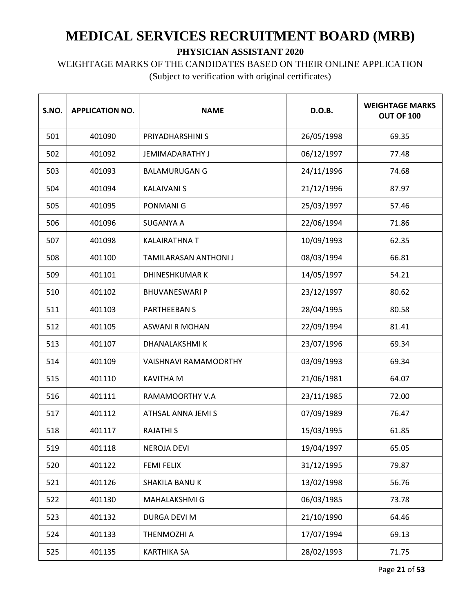WEIGHTAGE MARKS OF THE CANDIDATES BASED ON THEIR ONLINE APPLICATION

| S.NO. | <b>APPLICATION NO.</b> | <b>NAME</b>                  | D.O.B.     | <b>WEIGHTAGE MARKS</b><br><b>OUT OF 100</b> |
|-------|------------------------|------------------------------|------------|---------------------------------------------|
| 501   | 401090                 | PRIYADHARSHINI S             | 26/05/1998 | 69.35                                       |
| 502   | 401092                 | <b>JEMIMADARATHY J</b>       | 06/12/1997 | 77.48                                       |
| 503   | 401093                 | <b>BALAMURUGAN G</b>         | 24/11/1996 | 74.68                                       |
| 504   | 401094                 | <b>KALAIVANI S</b>           | 21/12/1996 | 87.97                                       |
| 505   | 401095                 | <b>PONMANIG</b>              | 25/03/1997 | 57.46                                       |
| 506   | 401096                 | <b>SUGANYA A</b>             | 22/06/1994 | 71.86                                       |
| 507   | 401098                 | <b>KALAIRATHNA T</b>         | 10/09/1993 | 62.35                                       |
| 508   | 401100                 | TAMILARASAN ANTHONI J        | 08/03/1994 | 66.81                                       |
| 509   | 401101                 | <b>DHINESHKUMAR K</b>        | 14/05/1997 | 54.21                                       |
| 510   | 401102                 | <b>BHUVANESWARI P</b>        | 23/12/1997 | 80.62                                       |
| 511   | 401103                 | <b>PARTHEEBAN S</b>          | 28/04/1995 | 80.58                                       |
| 512   | 401105                 | <b>ASWANI R MOHAN</b>        | 22/09/1994 | 81.41                                       |
| 513   | 401107                 | DHANALAKSHMI K               | 23/07/1996 | 69.34                                       |
| 514   | 401109                 | <b>VAISHNAVI RAMAMOORTHY</b> | 03/09/1993 | 69.34                                       |
| 515   | 401110                 | <b>KAVITHA M</b>             | 21/06/1981 | 64.07                                       |
| 516   | 401111                 | RAMAMOORTHY V.A              | 23/11/1985 | 72.00                                       |
| 517   | 401112                 | ATHSAL ANNA JEMI S           | 07/09/1989 | 76.47                                       |
| 518   | 401117                 | <b>RAJATHI S</b>             | 15/03/1995 | 61.85                                       |
| 519   | 401118                 | <b>NEROJA DEVI</b>           | 19/04/1997 | 65.05                                       |
| 520   | 401122                 | <b>FEMI FELIX</b>            | 31/12/1995 | 79.87                                       |
| 521   | 401126                 | SHAKILA BANU K               | 13/02/1998 | 56.76                                       |
| 522   | 401130                 | MAHALAKSHMI G                | 06/03/1985 | 73.78                                       |
| 523   | 401132                 | DURGA DEVI M                 | 21/10/1990 | 64.46                                       |
| 524   | 401133                 | THENMOZHI A                  | 17/07/1994 | 69.13                                       |
| 525   | 401135                 | <b>KARTHIKA SA</b>           | 28/02/1993 | 71.75                                       |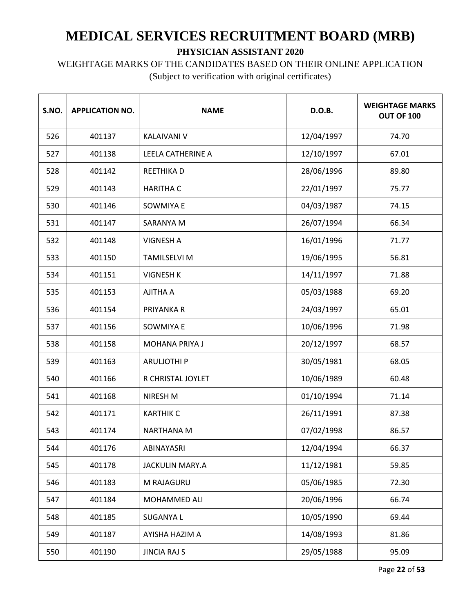WEIGHTAGE MARKS OF THE CANDIDATES BASED ON THEIR ONLINE APPLICATION

| S.NO. | <b>APPLICATION NO.</b> | <b>NAME</b>            | D.O.B.     | <b>WEIGHTAGE MARKS</b><br>OUT OF 100 |
|-------|------------------------|------------------------|------------|--------------------------------------|
| 526   | 401137                 | <b>KALAIVANI V</b>     | 12/04/1997 | 74.70                                |
| 527   | 401138                 | LEELA CATHERINE A      | 12/10/1997 | 67.01                                |
| 528   | 401142                 | <b>REETHIKAD</b>       | 28/06/1996 | 89.80                                |
| 529   | 401143                 | <b>HARITHA C</b>       | 22/01/1997 | 75.77                                |
| 530   | 401146                 | <b>SOWMIYA E</b>       | 04/03/1987 | 74.15                                |
| 531   | 401147                 | SARANYA M              | 26/07/1994 | 66.34                                |
| 532   | 401148                 | <b>VIGNESH A</b>       | 16/01/1996 | 71.77                                |
| 533   | 401150                 | <b>TAMILSELVI M</b>    | 19/06/1995 | 56.81                                |
| 534   | 401151                 | <b>VIGNESH K</b>       | 14/11/1997 | 71.88                                |
| 535   | 401153                 | AJITHA A               | 05/03/1988 | 69.20                                |
| 536   | 401154                 | PRIYANKA R             | 24/03/1997 | 65.01                                |
| 537   | 401156                 | <b>SOWMIYA E</b>       | 10/06/1996 | 71.98                                |
| 538   | 401158                 | MOHANA PRIYA J         | 20/12/1997 | 68.57                                |
| 539   | 401163                 | <b>ARULJOTHI P</b>     | 30/05/1981 | 68.05                                |
| 540   | 401166                 | R CHRISTAL JOYLET      | 10/06/1989 | 60.48                                |
| 541   | 401168                 | NIRESH M               | 01/10/1994 | 71.14                                |
| 542   | 401171                 | <b>KARTHIK C</b>       | 26/11/1991 | 87.38                                |
| 543   | 401174                 | NARTHANA M             | 07/02/1998 | 86.57                                |
| 544   | 401176                 | ABINAYASRI             | 12/04/1994 | 66.37                                |
| 545   | 401178                 | <b>JACKULIN MARY.A</b> | 11/12/1981 | 59.85                                |
| 546   | 401183                 | M RAJAGURU             | 05/06/1985 | 72.30                                |
| 547   | 401184                 | MOHAMMED ALI           | 20/06/1996 | 66.74                                |
| 548   | 401185                 | <b>SUGANYAL</b>        | 10/05/1990 | 69.44                                |
| 549   | 401187                 | AYISHA HAZIM A         | 14/08/1993 | 81.86                                |
| 550   | 401190                 | <b>JINCIA RAJ S</b>    | 29/05/1988 | 95.09                                |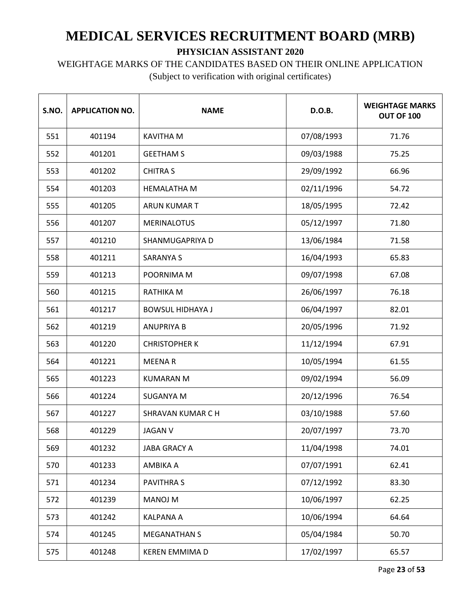WEIGHTAGE MARKS OF THE CANDIDATES BASED ON THEIR ONLINE APPLICATION

| S.NO. | <b>APPLICATION NO.</b> | <b>NAME</b>              | D.O.B.     | <b>WEIGHTAGE MARKS</b><br>OUT OF 100 |
|-------|------------------------|--------------------------|------------|--------------------------------------|
| 551   | 401194                 | <b>KAVITHA M</b>         | 07/08/1993 | 71.76                                |
| 552   | 401201                 | <b>GEETHAM S</b>         | 09/03/1988 | 75.25                                |
| 553   | 401202                 | <b>CHITRA S</b>          | 29/09/1992 | 66.96                                |
| 554   | 401203                 | <b>HEMALATHA M</b>       | 02/11/1996 | 54.72                                |
| 555   | 401205                 | <b>ARUN KUMAR T</b>      | 18/05/1995 | 72.42                                |
| 556   | 401207                 | <b>MERINALOTUS</b>       | 05/12/1997 | 71.80                                |
| 557   | 401210                 | SHANMUGAPRIYA D          | 13/06/1984 | 71.58                                |
| 558   | 401211                 | <b>SARANYA S</b>         | 16/04/1993 | 65.83                                |
| 559   | 401213                 | POORNIMA M               | 09/07/1998 | 67.08                                |
| 560   | 401215                 | RATHIKA M                | 26/06/1997 | 76.18                                |
| 561   | 401217                 | <b>BOWSUL HIDHAYA J</b>  | 06/04/1997 | 82.01                                |
| 562   | 401219                 | <b>ANUPRIYA B</b>        | 20/05/1996 | 71.92                                |
| 563   | 401220                 | <b>CHRISTOPHER K</b>     | 11/12/1994 | 67.91                                |
| 564   | 401221                 | <b>MEENAR</b>            | 10/05/1994 | 61.55                                |
| 565   | 401223                 | <b>KUMARAN M</b>         | 09/02/1994 | 56.09                                |
| 566   | 401224                 | SUGANYA M                | 20/12/1996 | 76.54                                |
| 567   | 401227                 | <b>SHRAVAN KUMAR C H</b> | 03/10/1988 | 57.60                                |
| 568   | 401229                 | <b>JAGAN V</b>           | 20/07/1997 | 73.70                                |
| 569   | 401232                 | <b>JABA GRACY A</b>      | 11/04/1998 | 74.01                                |
| 570   | 401233                 | AMBIKA A                 | 07/07/1991 | 62.41                                |
| 571   | 401234                 | <b>PAVITHRAS</b>         | 07/12/1992 | 83.30                                |
| 572   | 401239                 | <b>MANOJ M</b>           | 10/06/1997 | 62.25                                |
| 573   | 401242                 | <b>KALPANA A</b>         | 10/06/1994 | 64.64                                |
| 574   | 401245                 | <b>MEGANATHAN S</b>      | 05/04/1984 | 50.70                                |
| 575   | 401248                 | <b>KEREN EMMIMA D</b>    | 17/02/1997 | 65.57                                |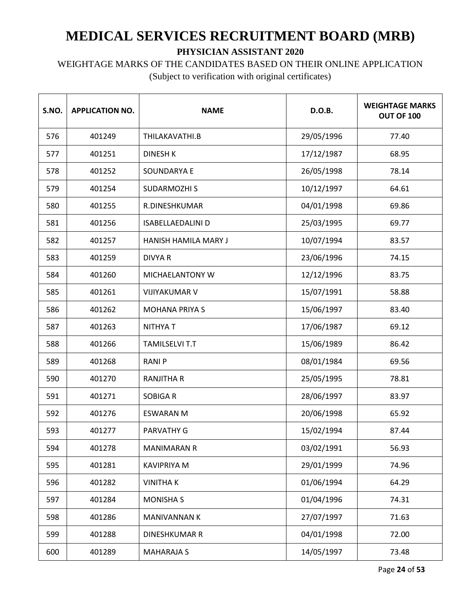WEIGHTAGE MARKS OF THE CANDIDATES BASED ON THEIR ONLINE APPLICATION

| S.NO. | <b>APPLICATION NO.</b> | <b>NAME</b>                 | D.O.B.     | <b>WEIGHTAGE MARKS</b><br>OUT OF 100 |
|-------|------------------------|-----------------------------|------------|--------------------------------------|
| 576   | 401249                 | THILAKAVATHI.B              | 29/05/1996 | 77.40                                |
| 577   | 401251                 | <b>DINESH K</b>             | 17/12/1987 | 68.95                                |
| 578   | 401252                 | SOUNDARYA E                 | 26/05/1998 | 78.14                                |
| 579   | 401254                 | <b>SUDARMOZHI S</b>         | 10/12/1997 | 64.61                                |
| 580   | 401255                 | R.DINESHKUMAR               | 04/01/1998 | 69.86                                |
| 581   | 401256                 | <b>ISABELLAEDALINI D</b>    | 25/03/1995 | 69.77                                |
| 582   | 401257                 | <b>HANISH HAMILA MARY J</b> | 10/07/1994 | 83.57                                |
| 583   | 401259                 | <b>DIVYA R</b>              | 23/06/1996 | 74.15                                |
| 584   | 401260                 | MICHAELANTONY W             | 12/12/1996 | 83.75                                |
| 585   | 401261                 | <b>VIJIYAKUMAR V</b>        | 15/07/1991 | 58.88                                |
| 586   | 401262                 | <b>MOHANA PRIYA S</b>       | 15/06/1997 | 83.40                                |
| 587   | 401263                 | <b>NITHYAT</b>              | 17/06/1987 | 69.12                                |
| 588   | 401266                 | <b>TAMILSELVI T.T</b>       | 15/06/1989 | 86.42                                |
| 589   | 401268                 | <b>RANIP</b>                | 08/01/1984 | 69.56                                |
| 590   | 401270                 | <b>RANJITHA R</b>           | 25/05/1995 | 78.81                                |
| 591   | 401271                 | <b>SOBIGAR</b>              | 28/06/1997 | 83.97                                |
| 592   | 401276                 | <b>ESWARAN M</b>            | 20/06/1998 | 65.92                                |
| 593   | 401277                 | <b>PARVATHY G</b>           | 15/02/1994 | 87.44                                |
| 594   | 401278                 | <b>MANIMARAN R</b>          | 03/02/1991 | 56.93                                |
| 595   | 401281                 | <b>KAVIPRIYA M</b>          | 29/01/1999 | 74.96                                |
| 596   | 401282                 | <b>VINITHAK</b>             | 01/06/1994 | 64.29                                |
| 597   | 401284                 | <b>MONISHA S</b>            | 01/04/1996 | 74.31                                |
| 598   | 401286                 | <b>MANIVANNAN K</b>         | 27/07/1997 | 71.63                                |
| 599   | 401288                 | <b>DINESHKUMAR R</b>        | 04/01/1998 | 72.00                                |
| 600   | 401289                 | <b>MAHARAJA S</b>           | 14/05/1997 | 73.48                                |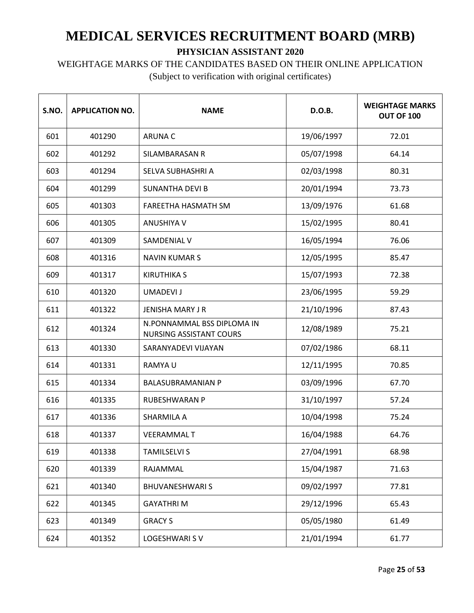## WEIGHTAGE MARKS OF THE CANDIDATES BASED ON THEIR ONLINE APPLICATION

| S.NO. | <b>APPLICATION NO.</b> | <b>NAME</b>                                                  | D.O.B.     | <b>WEIGHTAGE MARKS</b><br><b>OUT OF 100</b> |
|-------|------------------------|--------------------------------------------------------------|------------|---------------------------------------------|
| 601   | 401290                 | <b>ARUNA C</b>                                               | 19/06/1997 | 72.01                                       |
| 602   | 401292                 | SILAMBARASAN R                                               | 05/07/1998 | 64.14                                       |
| 603   | 401294                 | SELVA SUBHASHRI A                                            | 02/03/1998 | 80.31                                       |
| 604   | 401299                 | <b>SUNANTHA DEVI B</b>                                       | 20/01/1994 | 73.73                                       |
| 605   | 401303                 | FAREETHA HASMATH SM                                          | 13/09/1976 | 61.68                                       |
| 606   | 401305                 | <b>ANUSHIYA V</b>                                            | 15/02/1995 | 80.41                                       |
| 607   | 401309                 | SAMDENIAL V                                                  | 16/05/1994 | 76.06                                       |
| 608   | 401316                 | <b>NAVIN KUMARS</b>                                          | 12/05/1995 | 85.47                                       |
| 609   | 401317                 | <b>KIRUTHIKA S</b>                                           | 15/07/1993 | 72.38                                       |
| 610   | 401320                 | <b>UMADEVI J</b>                                             | 23/06/1995 | 59.29                                       |
| 611   | 401322                 | <b>JENISHA MARY J R</b>                                      | 21/10/1996 | 87.43                                       |
| 612   | 401324                 | N.PONNAMMAL BSS DIPLOMA IN<br><b>NURSING ASSISTANT COURS</b> | 12/08/1989 | 75.21                                       |
| 613   | 401330                 | SARANYADEVI VIJAYAN                                          | 07/02/1986 | 68.11                                       |
| 614   | 401331                 | RAMYA U                                                      | 12/11/1995 | 70.85                                       |
| 615   | 401334                 | <b>BALASUBRAMANIAN P</b>                                     | 03/09/1996 | 67.70                                       |
| 616   | 401335                 | <b>RUBESHWARAN P</b>                                         | 31/10/1997 | 57.24                                       |
| 617   | 401336                 | SHARMILA A                                                   | 10/04/1998 | 75.24                                       |
| 618   | 401337                 | <b>VEERAMMALT</b>                                            | 16/04/1988 | 64.76                                       |
| 619   | 401338                 | <b>TAMILSELVI S</b>                                          | 27/04/1991 | 68.98                                       |
| 620   | 401339                 | RAJAMMAL                                                     | 15/04/1987 | 71.63                                       |
| 621   | 401340                 | <b>BHUVANESHWARIS</b>                                        | 09/02/1997 | 77.81                                       |
| 622   | 401345                 | <b>GAYATHRIM</b>                                             | 29/12/1996 | 65.43                                       |
| 623   | 401349                 | <b>GRACY S</b>                                               | 05/05/1980 | 61.49                                       |
| 624   | 401352                 | <b>LOGESHWARI SV</b>                                         | 21/01/1994 | 61.77                                       |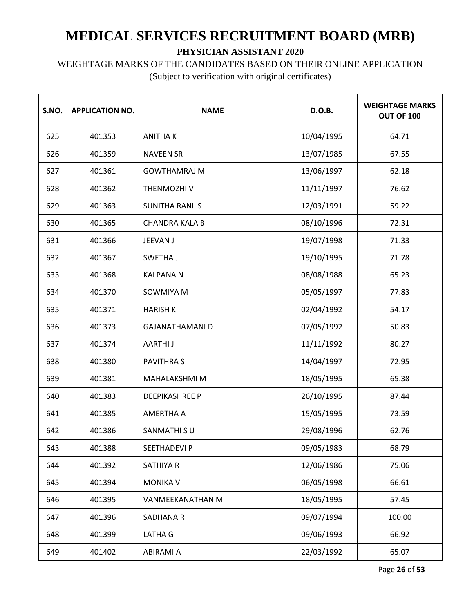## WEIGHTAGE MARKS OF THE CANDIDATES BASED ON THEIR ONLINE APPLICATION

| S.NO. | <b>APPLICATION NO.</b> | <b>NAME</b>            | D.O.B.     | <b>WEIGHTAGE MARKS</b><br>OUT OF 100 |
|-------|------------------------|------------------------|------------|--------------------------------------|
| 625   | 401353                 | <b>ANITHAK</b>         | 10/04/1995 | 64.71                                |
| 626   | 401359                 | <b>NAVEEN SR</b>       | 13/07/1985 | 67.55                                |
| 627   | 401361                 | <b>GOWTHAMRAJ M</b>    | 13/06/1997 | 62.18                                |
| 628   | 401362                 | THENMOZHI V            | 11/11/1997 | 76.62                                |
| 629   | 401363                 | <b>SUNITHA RANI S</b>  | 12/03/1991 | 59.22                                |
| 630   | 401365                 | <b>CHANDRA KALA B</b>  | 08/10/1996 | 72.31                                |
| 631   | 401366                 | JEEVAN J               | 19/07/1998 | 71.33                                |
| 632   | 401367                 | SWETHA J               | 19/10/1995 | 71.78                                |
| 633   | 401368                 | <b>KALPANAN</b>        | 08/08/1988 | 65.23                                |
| 634   | 401370                 | SOWMIYA M              | 05/05/1997 | 77.83                                |
| 635   | 401371                 | <b>HARISH K</b>        | 02/04/1992 | 54.17                                |
| 636   | 401373                 | <b>GAJANATHAMANI D</b> | 07/05/1992 | 50.83                                |
| 637   | 401374                 | <b>AARTHIJ</b>         | 11/11/1992 | 80.27                                |
| 638   | 401380                 | <b>PAVITHRAS</b>       | 14/04/1997 | 72.95                                |
| 639   | 401381                 | MAHALAKSHMI M          | 18/05/1995 | 65.38                                |
| 640   | 401383                 | <b>DEEPIKASHREE P</b>  | 26/10/1995 | 87.44                                |
| 641   | 401385                 | <b>AMERTHA A</b>       | 15/05/1995 | 73.59                                |
| 642   | 401386                 | SANMATHI SU            | 29/08/1996 | 62.76                                |
| 643   | 401388                 | <b>SEETHADEVIP</b>     | 09/05/1983 | 68.79                                |
| 644   | 401392                 | <b>SATHIYA R</b>       | 12/06/1986 | 75.06                                |
| 645   | 401394                 | <b>MONIKA V</b>        | 06/05/1998 | 66.61                                |
| 646   | 401395                 | VANMEEKANATHAN M       | 18/05/1995 | 57.45                                |
| 647   | 401396                 | SADHANA R              | 09/07/1994 | 100.00                               |
| 648   | 401399                 | LATHA G                | 09/06/1993 | 66.92                                |
| 649   | 401402                 | ABIRAMI A              | 22/03/1992 | 65.07                                |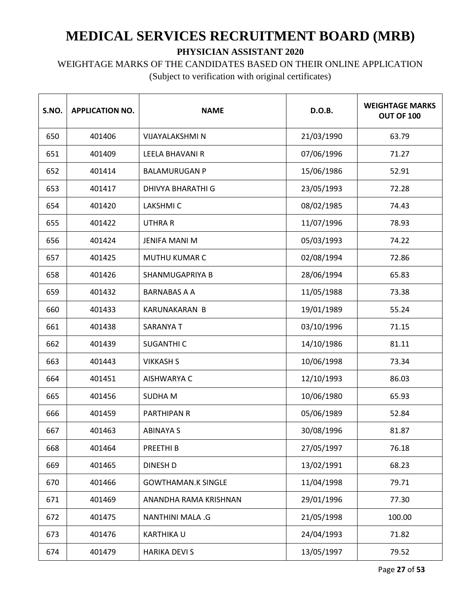# WEIGHTAGE MARKS OF THE CANDIDATES BASED ON THEIR ONLINE APPLICATION

| S.NO. | <b>APPLICATION NO.</b> | <b>NAME</b>               | D.O.B.     | <b>WEIGHTAGE MARKS</b><br>OUT OF 100 |
|-------|------------------------|---------------------------|------------|--------------------------------------|
| 650   | 401406                 | <b>VIJAYALAKSHMI N</b>    | 21/03/1990 | 63.79                                |
| 651   | 401409                 | LEELA BHAVANI R           | 07/06/1996 | 71.27                                |
| 652   | 401414                 | <b>BALAMURUGAN P</b>      | 15/06/1986 | 52.91                                |
| 653   | 401417                 | DHIVYA BHARATHI G         | 23/05/1993 | 72.28                                |
| 654   | 401420                 | <b>LAKSHMIC</b>           | 08/02/1985 | 74.43                                |
| 655   | 401422                 | <b>UTHRAR</b>             | 11/07/1996 | 78.93                                |
| 656   | 401424                 | <b>JENIFA MANI M</b>      | 05/03/1993 | 74.22                                |
| 657   | 401425                 | MUTHU KUMAR C             | 02/08/1994 | 72.86                                |
| 658   | 401426                 | SHANMUGAPRIYA B           | 28/06/1994 | 65.83                                |
| 659   | 401432                 | <b>BARNABAS A A</b>       | 11/05/1988 | 73.38                                |
| 660   | 401433                 | <b>KARUNAKARAN B</b>      | 19/01/1989 | 55.24                                |
| 661   | 401438                 | <b>SARANYAT</b>           | 03/10/1996 | 71.15                                |
| 662   | 401439                 | <b>SUGANTHI C</b>         | 14/10/1986 | 81.11                                |
| 663   | 401443                 | <b>VIKKASH S</b>          | 10/06/1998 | 73.34                                |
| 664   | 401451                 | AISHWARYA C               | 12/10/1993 | 86.03                                |
| 665   | 401456                 | <b>SUDHAM</b>             | 10/06/1980 | 65.93                                |
| 666   | 401459                 | <b>PARTHIPAN R</b>        | 05/06/1989 | 52.84                                |
| 667   | 401463                 | <b>ABINAYA S</b>          | 30/08/1996 | 81.87                                |
| 668   | 401464                 | PREETHI B                 | 27/05/1997 | 76.18                                |
| 669   | 401465                 | <b>DINESH D</b>           | 13/02/1991 | 68.23                                |
| 670   | 401466                 | <b>GOWTHAMAN.K SINGLE</b> | 11/04/1998 | 79.71                                |
| 671   | 401469                 | ANANDHA RAMA KRISHNAN     | 29/01/1996 | 77.30                                |
| 672   | 401475                 | NANTHINI MALA .G          | 21/05/1998 | 100.00                               |
| 673   | 401476                 | <b>KARTHIKA U</b>         | 24/04/1993 | 71.82                                |
| 674   | 401479                 | <b>HARIKA DEVI S</b>      | 13/05/1997 | 79.52                                |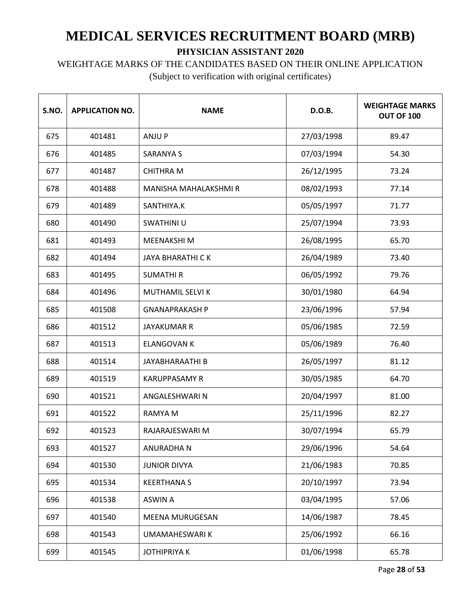#### WEIGHTAGE MARKS OF THE CANDIDATES BASED ON THEIR ONLINE APPLICATION

| S.NO. | <b>APPLICATION NO.</b> | <b>NAME</b>                  | D.O.B.     | <b>WEIGHTAGE MARKS</b><br>OUT OF 100 |
|-------|------------------------|------------------------------|------------|--------------------------------------|
| 675   | 401481                 | <b>ANJUP</b>                 | 27/03/1998 | 89.47                                |
| 676   | 401485                 | <b>SARANYA S</b>             | 07/03/1994 | 54.30                                |
| 677   | 401487                 | <b>CHITHRA M</b>             | 26/12/1995 | 73.24                                |
| 678   | 401488                 | <b>MANISHA MAHALAKSHMI R</b> | 08/02/1993 | 77.14                                |
| 679   | 401489                 | SANTHIYA.K                   | 05/05/1997 | 71.77                                |
| 680   | 401490                 | SWATHINI U                   | 25/07/1994 | 73.93                                |
| 681   | 401493                 | <b>MEENAKSHIM</b>            | 26/08/1995 | 65.70                                |
| 682   | 401494                 | <b>JAYA BHARATHI CK</b>      | 26/04/1989 | 73.40                                |
| 683   | 401495                 | <b>SUMATHIR</b>              | 06/05/1992 | 79.76                                |
| 684   | 401496                 | MUTHAMIL SELVI K             | 30/01/1980 | 64.94                                |
| 685   | 401508                 | <b>GNANAPRAKASH P</b>        | 23/06/1996 | 57.94                                |
| 686   | 401512                 | <b>JAYAKUMAR R</b>           | 05/06/1985 | 72.59                                |
| 687   | 401513                 | <b>ELANGOVAN K</b>           | 05/06/1989 | 76.40                                |
| 688   | 401514                 | <b>JAYABHARAATHI B</b>       | 26/05/1997 | 81.12                                |
| 689   | 401519                 | <b>KARUPPASAMY R</b>         | 30/05/1985 | 64.70                                |
| 690   | 401521                 | ANGALESHWARI N               | 20/04/1997 | 81.00                                |
| 691   | 401522                 | RAMYA M                      | 25/11/1996 | 82.27                                |
| 692   | 401523                 | RAJARAJESWARI M              | 30/07/1994 | 65.79                                |
| 693   | 401527                 | ANURADHA N                   | 29/06/1996 | 54.64                                |
| 694   | 401530                 | <b>JUNIOR DIVYA</b>          | 21/06/1983 | 70.85                                |
| 695   | 401534                 | <b>KEERTHANA S</b>           | 20/10/1997 | 73.94                                |
| 696   | 401538                 | <b>ASWIN A</b>               | 03/04/1995 | 57.06                                |
| 697   | 401540                 | <b>MEENA MURUGESAN</b>       | 14/06/1987 | 78.45                                |
| 698   | 401543                 | UMAMAHESWARI K               | 25/06/1992 | 66.16                                |
| 699   | 401545                 | <b>JOTHIPRIYA K</b>          | 01/06/1998 | 65.78                                |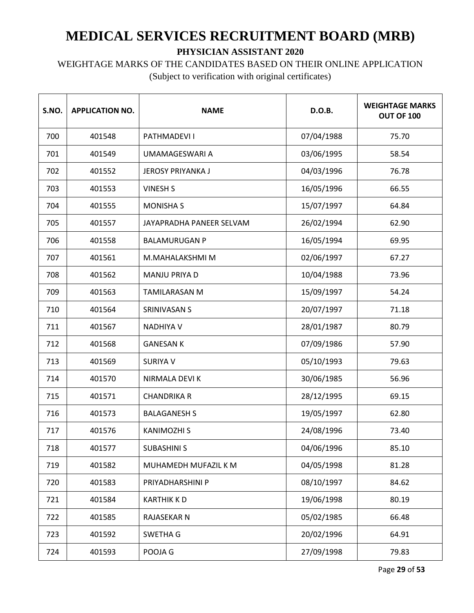WEIGHTAGE MARKS OF THE CANDIDATES BASED ON THEIR ONLINE APPLICATION

| S.NO. | <b>APPLICATION NO.</b> | <b>NAME</b>              | D.O.B.     | <b>WEIGHTAGE MARKS</b><br><b>OUT OF 100</b> |
|-------|------------------------|--------------------------|------------|---------------------------------------------|
| 700   | 401548                 | PATHMADEVI I             | 07/04/1988 | 75.70                                       |
| 701   | 401549                 | UMAMAGESWARI A           | 03/06/1995 | 58.54                                       |
| 702   | 401552                 | <b>JEROSY PRIYANKA J</b> | 04/03/1996 | 76.78                                       |
| 703   | 401553                 | <b>VINESH S</b>          | 16/05/1996 | 66.55                                       |
| 704   | 401555                 | <b>MONISHA S</b>         | 15/07/1997 | 64.84                                       |
| 705   | 401557                 | JAYAPRADHA PANEER SELVAM | 26/02/1994 | 62.90                                       |
| 706   | 401558                 | <b>BALAMURUGAN P</b>     | 16/05/1994 | 69.95                                       |
| 707   | 401561                 | M.MAHALAKSHMI M          | 02/06/1997 | 67.27                                       |
| 708   | 401562                 | MANJU PRIYA D            | 10/04/1988 | 73.96                                       |
| 709   | 401563                 | <b>TAMILARASAN M</b>     | 15/09/1997 | 54.24                                       |
| 710   | 401564                 | SRINIVASAN S             | 20/07/1997 | 71.18                                       |
| 711   | 401567                 | <b>NADHIYA V</b>         | 28/01/1987 | 80.79                                       |
| 712   | 401568                 | <b>GANESAN K</b>         | 07/09/1986 | 57.90                                       |
| 713   | 401569                 | <b>SURIYA V</b>          | 05/10/1993 | 79.63                                       |
| 714   | 401570                 | NIRMALA DEVI K           | 30/06/1985 | 56.96                                       |
| 715   | 401571                 | <b>CHANDRIKA R</b>       | 28/12/1995 | 69.15                                       |
| 716   | 401573                 | <b>BALAGANESH S</b>      | 19/05/1997 | 62.80                                       |
| 717   | 401576                 | <b>KANIMOZHI S</b>       | 24/08/1996 | 73.40                                       |
| 718   | 401577                 | <b>SUBASHINI S</b>       | 04/06/1996 | 85.10                                       |
| 719   | 401582                 | MUHAMEDH MUFAZIL K M     | 04/05/1998 | 81.28                                       |
| 720   | 401583                 | PRIYADHARSHINI P         | 08/10/1997 | 84.62                                       |
| 721   | 401584                 | <b>KARTHIK KD</b>        | 19/06/1998 | 80.19                                       |
| 722   | 401585                 | RAJASEKAR N              | 05/02/1985 | 66.48                                       |
| 723   | 401592                 | SWETHA G                 | 20/02/1996 | 64.91                                       |
| 724   | 401593                 | POOJA G                  | 27/09/1998 | 79.83                                       |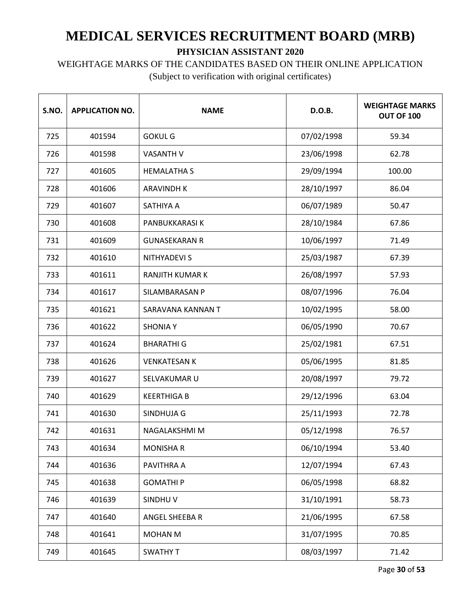WEIGHTAGE MARKS OF THE CANDIDATES BASED ON THEIR ONLINE APPLICATION

| S.NO. | <b>APPLICATION NO.</b> | <b>NAME</b>          | D.O.B.     | <b>WEIGHTAGE MARKS</b><br>OUT OF 100 |
|-------|------------------------|----------------------|------------|--------------------------------------|
| 725   | 401594                 | <b>GOKUL G</b>       | 07/02/1998 | 59.34                                |
| 726   | 401598                 | <b>VASANTH V</b>     | 23/06/1998 | 62.78                                |
| 727   | 401605                 | <b>HEMALATHA S</b>   | 29/09/1994 | 100.00                               |
| 728   | 401606                 | <b>ARAVINDH K</b>    | 28/10/1997 | 86.04                                |
| 729   | 401607                 | <b>SATHIYA A</b>     | 06/07/1989 | 50.47                                |
| 730   | 401608                 | PANBUKKARASI K       | 28/10/1984 | 67.86                                |
| 731   | 401609                 | <b>GUNASEKARAN R</b> | 10/06/1997 | 71.49                                |
| 732   | 401610                 | <b>NITHYADEVI S</b>  | 25/03/1987 | 67.39                                |
| 733   | 401611                 | RANJITH KUMAR K      | 26/08/1997 | 57.93                                |
| 734   | 401617                 | SILAMBARASAN P       | 08/07/1996 | 76.04                                |
| 735   | 401621                 | SARAVANA KANNAN T    | 10/02/1995 | 58.00                                |
| 736   | 401622                 | <b>SHONIA Y</b>      | 06/05/1990 | 70.67                                |
| 737   | 401624                 | <b>BHARATHI G</b>    | 25/02/1981 | 67.51                                |
| 738   | 401626                 | <b>VENKATESAN K</b>  | 05/06/1995 | 81.85                                |
| 739   | 401627                 | SELVAKUMAR U         | 20/08/1997 | 79.72                                |
| 740   | 401629                 | <b>KEERTHIGA B</b>   | 29/12/1996 | 63.04                                |
| 741   | 401630                 | SINDHUJA G           | 25/11/1993 | 72.78                                |
| 742   | 401631                 | NAGALAKSHMI M        | 05/12/1998 | 76.57                                |
| 743   | 401634                 | <b>MONISHA R</b>     | 06/10/1994 | 53.40                                |
| 744   | 401636                 | PAVITHRA A           | 12/07/1994 | 67.43                                |
| 745   | 401638                 | <b>GOMATHIP</b>      | 06/05/1998 | 68.82                                |
| 746   | 401639                 | SINDHUV              | 31/10/1991 | 58.73                                |
| 747   | 401640                 | ANGEL SHEEBA R       | 21/06/1995 | 67.58                                |
| 748   | 401641                 | MOHAN M              | 31/07/1995 | 70.85                                |
| 749   | 401645                 | <b>SWATHY T</b>      | 08/03/1997 | 71.42                                |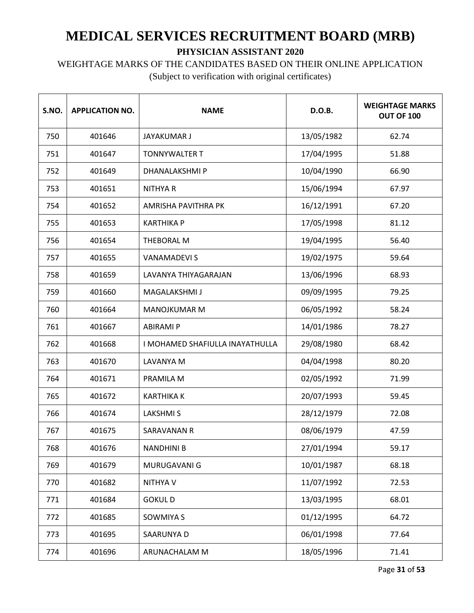WEIGHTAGE MARKS OF THE CANDIDATES BASED ON THEIR ONLINE APPLICATION

| S.NO. | <b>APPLICATION NO.</b> | <b>NAME</b>                     | D.O.B.     | <b>WEIGHTAGE MARKS</b><br>OUT OF 100 |
|-------|------------------------|---------------------------------|------------|--------------------------------------|
| 750   | 401646                 | JAYAKUMAR J                     | 13/05/1982 | 62.74                                |
| 751   | 401647                 | <b>TONNYWALTER T</b>            | 17/04/1995 | 51.88                                |
| 752   | 401649                 | DHANALAKSHMI P                  | 10/04/1990 | 66.90                                |
| 753   | 401651                 | <b>NITHYAR</b>                  | 15/06/1994 | 67.97                                |
| 754   | 401652                 | AMRISHA PAVITHRA PK             | 16/12/1991 | 67.20                                |
| 755   | 401653                 | <b>KARTHIKA P</b>               | 17/05/1998 | 81.12                                |
| 756   | 401654                 | THEBORAL M                      | 19/04/1995 | 56.40                                |
| 757   | 401655                 | <b>VANAMADEVIS</b>              | 19/02/1975 | 59.64                                |
| 758   | 401659                 | LAVANYA THIYAGARAJAN            | 13/06/1996 | 68.93                                |
| 759   | 401660                 | MAGALAKSHMI J                   | 09/09/1995 | 79.25                                |
| 760   | 401664                 | <b>MANOJKUMAR M</b>             | 06/05/1992 | 58.24                                |
| 761   | 401667                 | <b>ABIRAMI P</b>                | 14/01/1986 | 78.27                                |
| 762   | 401668                 | I MOHAMED SHAFIULLA INAYATHULLA | 29/08/1980 | 68.42                                |
| 763   | 401670                 | LAVANYA M                       | 04/04/1998 | 80.20                                |
| 764   | 401671                 | PRAMILA M                       | 02/05/1992 | 71.99                                |
| 765   | 401672                 | <b>KARTHIKA K</b>               | 20/07/1993 | 59.45                                |
| 766   | 401674                 | <b>LAKSHMIS</b>                 | 28/12/1979 | 72.08                                |
| 767   | 401675                 | <b>SARAVANAN R</b>              | 08/06/1979 | 47.59                                |
| 768   | 401676                 | <b>NANDHINI B</b>               | 27/01/1994 | 59.17                                |
| 769   | 401679                 | MURUGAVANI G                    | 10/01/1987 | 68.18                                |
| 770   | 401682                 | NITHYA V                        | 11/07/1992 | 72.53                                |
| 771   | 401684                 | <b>GOKULD</b>                   | 13/03/1995 | 68.01                                |
| 772   | 401685                 | SOWMIYA S                       | 01/12/1995 | 64.72                                |
| 773   | 401695                 | SAARUNYA D                      | 06/01/1998 | 77.64                                |
| 774   | 401696                 | ARUNACHALAM M                   | 18/05/1996 | 71.41                                |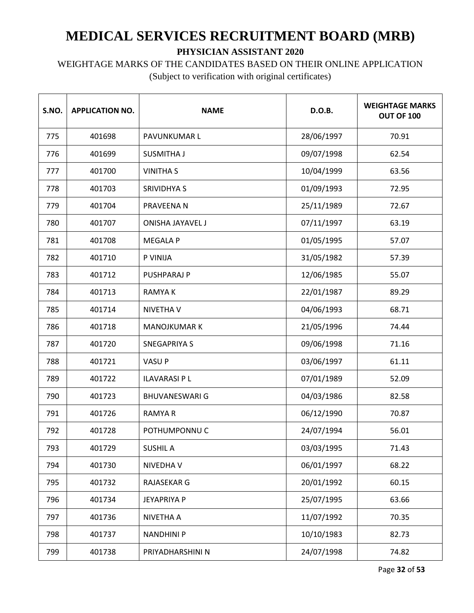WEIGHTAGE MARKS OF THE CANDIDATES BASED ON THEIR ONLINE APPLICATION

| S.NO. | <b>APPLICATION NO.</b> | <b>NAME</b>             | D.O.B.     | <b>WEIGHTAGE MARKS</b><br>OUT OF 100 |
|-------|------------------------|-------------------------|------------|--------------------------------------|
| 775   | 401698                 | PAVUNKUMAR L            | 28/06/1997 | 70.91                                |
| 776   | 401699                 | <b>SUSMITHA J</b>       | 09/07/1998 | 62.54                                |
| 777   | 401700                 | <b>VINITHA S</b>        | 10/04/1999 | 63.56                                |
| 778   | 401703                 | <b>SRIVIDHYA S</b>      | 01/09/1993 | 72.95                                |
| 779   | 401704                 | PRAVEENA N              | 25/11/1989 | 72.67                                |
| 780   | 401707                 | <b>ONISHA JAYAVEL J</b> | 07/11/1997 | 63.19                                |
| 781   | 401708                 | <b>MEGALA P</b>         | 01/05/1995 | 57.07                                |
| 782   | 401710                 | P VINIJA                | 31/05/1982 | 57.39                                |
| 783   | 401712                 | PUSHPARAJ P             | 12/06/1985 | 55.07                                |
| 784   | 401713                 | <b>RAMYAK</b>           | 22/01/1987 | 89.29                                |
| 785   | 401714                 | <b>NIVETHA V</b>        | 04/06/1993 | 68.71                                |
| 786   | 401718                 | <b>MANOJKUMAR K</b>     | 21/05/1996 | 74.44                                |
| 787   | 401720                 | <b>SNEGAPRIYA S</b>     | 09/06/1998 | 71.16                                |
| 788   | 401721                 | VASU P                  | 03/06/1997 | 61.11                                |
| 789   | 401722                 | <b>ILAVARASI P L</b>    | 07/01/1989 | 52.09                                |
| 790   | 401723                 | <b>BHUVANESWARI G</b>   | 04/03/1986 | 82.58                                |
| 791   | 401726                 | <b>RAMYAR</b>           | 06/12/1990 | 70.87                                |
| 792   | 401728                 | POTHUMPONNU C           | 24/07/1994 | 56.01                                |
| 793   | 401729                 | <b>SUSHIL A</b>         | 03/03/1995 | 71.43                                |
| 794   | 401730                 | NIVEDHA V               | 06/01/1997 | 68.22                                |
| 795   | 401732                 | RAJASEKAR G             | 20/01/1992 | 60.15                                |
| 796   | 401734                 | <b>JEYAPRIYA P</b>      | 25/07/1995 | 63.66                                |
| 797   | 401736                 | NIVETHA A               | 11/07/1992 | 70.35                                |
| 798   | 401737                 | <b>NANDHINI P</b>       | 10/10/1983 | 82.73                                |
| 799   | 401738                 | PRIYADHARSHINI N        | 24/07/1998 | 74.82                                |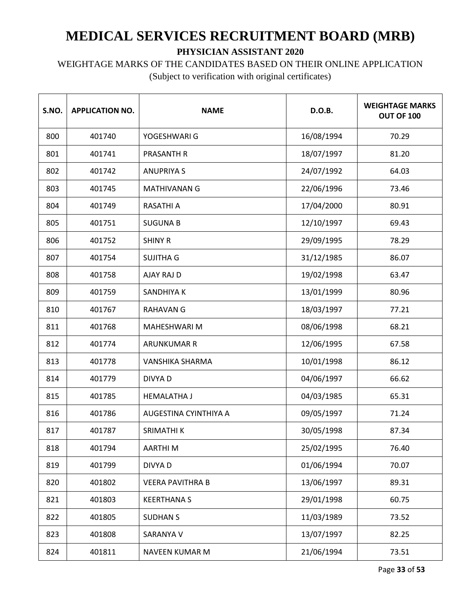### WEIGHTAGE MARKS OF THE CANDIDATES BASED ON THEIR ONLINE APPLICATION

| S.NO. | <b>APPLICATION NO.</b> | <b>NAME</b>             | D.O.B.     | <b>WEIGHTAGE MARKS</b><br>OUT OF 100 |
|-------|------------------------|-------------------------|------------|--------------------------------------|
| 800   | 401740                 | YOGESHWARI G            | 16/08/1994 | 70.29                                |
| 801   | 401741                 | <b>PRASANTH R</b>       | 18/07/1997 | 81.20                                |
| 802   | 401742                 | <b>ANUPRIYA S</b>       | 24/07/1992 | 64.03                                |
| 803   | 401745                 | <b>MATHIVANAN G</b>     | 22/06/1996 | 73.46                                |
| 804   | 401749                 | <b>RASATHI A</b>        | 17/04/2000 | 80.91                                |
| 805   | 401751                 | <b>SUGUNA B</b>         | 12/10/1997 | 69.43                                |
| 806   | 401752                 | <b>SHINY R</b>          | 29/09/1995 | 78.29                                |
| 807   | 401754                 | <b>SUJITHA G</b>        | 31/12/1985 | 86.07                                |
| 808   | 401758                 | AJAY RAJ D              | 19/02/1998 | 63.47                                |
| 809   | 401759                 | SANDHIYA K              | 13/01/1999 | 80.96                                |
| 810   | 401767                 | <b>RAHAVAN G</b>        | 18/03/1997 | 77.21                                |
| 811   | 401768                 | <b>MAHESHWARI M</b>     | 08/06/1998 | 68.21                                |
| 812   | 401774                 | <b>ARUNKUMAR R</b>      | 12/06/1995 | 67.58                                |
| 813   | 401778                 | VANSHIKA SHARMA         | 10/01/1998 | 86.12                                |
| 814   | 401779                 | DIVYA D                 | 04/06/1997 | 66.62                                |
| 815   | 401785                 | <b>HEMALATHA J</b>      | 04/03/1985 | 65.31                                |
| 816   | 401786                 | AUGESTINA CYINTHIYA A   | 09/05/1997 | 71.24                                |
| 817   | 401787                 | SRIMATHI K              | 30/05/1998 | 87.34                                |
| 818   | 401794                 | AARTHI M                | 25/02/1995 | 76.40                                |
| 819   | 401799                 | <b>DIVYAD</b>           | 01/06/1994 | 70.07                                |
| 820   | 401802                 | <b>VEERA PAVITHRA B</b> | 13/06/1997 | 89.31                                |
| 821   | 401803                 | <b>KEERTHANA S</b>      | 29/01/1998 | 60.75                                |
| 822   | 401805                 | <b>SUDHAN S</b>         | 11/03/1989 | 73.52                                |
| 823   | 401808                 | SARANYA V               | 13/07/1997 | 82.25                                |
| 824   | 401811                 | NAVEEN KUMAR M          | 21/06/1994 | 73.51                                |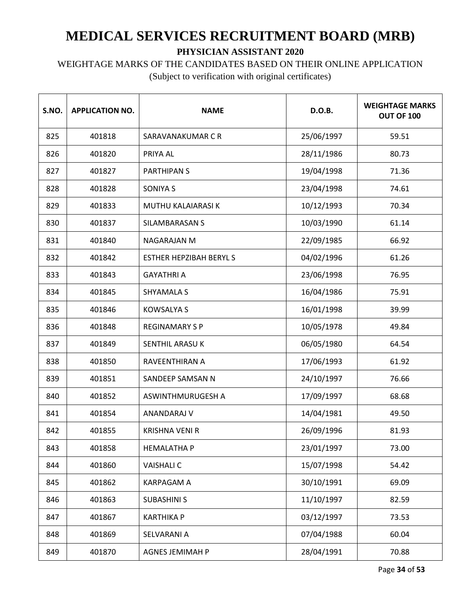WEIGHTAGE MARKS OF THE CANDIDATES BASED ON THEIR ONLINE APPLICATION

| S.NO. | <b>APPLICATION NO.</b> | <b>NAME</b>                   | D.O.B.     | <b>WEIGHTAGE MARKS</b><br>OUT OF 100 |
|-------|------------------------|-------------------------------|------------|--------------------------------------|
| 825   | 401818                 | SARAVANAKUMAR C R             | 25/06/1997 | 59.51                                |
| 826   | 401820                 | PRIYA AL                      | 28/11/1986 | 80.73                                |
| 827   | 401827                 | <b>PARTHIPANS</b>             | 19/04/1998 | 71.36                                |
| 828   | 401828                 | <b>SONIYA S</b>               | 23/04/1998 | 74.61                                |
| 829   | 401833                 | <b>MUTHU KALAIARASI K</b>     | 10/12/1993 | 70.34                                |
| 830   | 401837                 | SILAMBARASAN S                | 10/03/1990 | 61.14                                |
| 831   | 401840                 | <b>NAGARAJAN M</b>            | 22/09/1985 | 66.92                                |
| 832   | 401842                 | <b>ESTHER HEPZIBAH BERYLS</b> | 04/02/1996 | 61.26                                |
| 833   | 401843                 | <b>GAYATHRI A</b>             | 23/06/1998 | 76.95                                |
| 834   | 401845                 | SHYAMALA S                    | 16/04/1986 | 75.91                                |
| 835   | 401846                 | <b>KOWSALYA S</b>             | 16/01/1998 | 39.99                                |
| 836   | 401848                 | <b>REGINAMARY S P</b>         | 10/05/1978 | 49.84                                |
| 837   | 401849                 | SENTHIL ARASU K               | 06/05/1980 | 64.54                                |
| 838   | 401850                 | RAVEENTHIRAN A                | 17/06/1993 | 61.92                                |
| 839   | 401851                 | SANDEEP SAMSAN N              | 24/10/1997 | 76.66                                |
| 840   | 401852                 | ASWINTHMURUGESH A             | 17/09/1997 | 68.68                                |
| 841   | 401854                 | ANANDARAJ V                   | 14/04/1981 | 49.50                                |
| 842   | 401855                 | <b>KRISHNA VENI R</b>         | 26/09/1996 | 81.93                                |
| 843   | 401858                 | <b>HEMALATHA P</b>            | 23/01/1997 | 73.00                                |
| 844   | 401860                 | <b>VAISHALI C</b>             | 15/07/1998 | 54.42                                |
| 845   | 401862                 | <b>KARPAGAM A</b>             | 30/10/1991 | 69.09                                |
| 846   | 401863                 | <b>SUBASHINI S</b>            | 11/10/1997 | 82.59                                |
| 847   | 401867                 | <b>KARTHIKA P</b>             | 03/12/1997 | 73.53                                |
| 848   | 401869                 | SELVARANI A                   | 07/04/1988 | 60.04                                |
| 849   | 401870                 | <b>AGNES JEMIMAH P</b>        | 28/04/1991 | 70.88                                |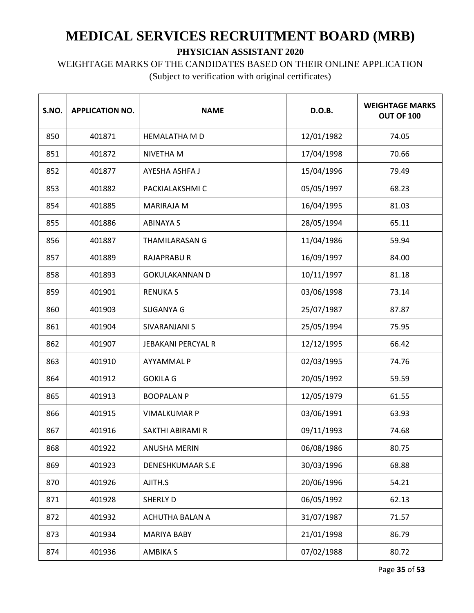WEIGHTAGE MARKS OF THE CANDIDATES BASED ON THEIR ONLINE APPLICATION

| S.NO. | <b>APPLICATION NO.</b> | <b>NAME</b>               | D.O.B.     | <b>WEIGHTAGE MARKS</b><br>OUT OF 100 |
|-------|------------------------|---------------------------|------------|--------------------------------------|
| 850   | 401871                 | <b>HEMALATHA M D</b>      | 12/01/1982 | 74.05                                |
| 851   | 401872                 | NIVETHA M                 | 17/04/1998 | 70.66                                |
| 852   | 401877                 | AYESHA ASHFA J            | 15/04/1996 | 79.49                                |
| 853   | 401882                 | PACKIALAKSHMI C           | 05/05/1997 | 68.23                                |
| 854   | 401885                 | <b>MARIRAJA M</b>         | 16/04/1995 | 81.03                                |
| 855   | 401886                 | <b>ABINAYA S</b>          | 28/05/1994 | 65.11                                |
| 856   | 401887                 | <b>THAMILARASAN G</b>     | 11/04/1986 | 59.94                                |
| 857   | 401889                 | <b>RAJAPRABUR</b>         | 16/09/1997 | 84.00                                |
| 858   | 401893                 | <b>GOKULAKANNAN D</b>     | 10/11/1997 | 81.18                                |
| 859   | 401901                 | <b>RENUKA S</b>           | 03/06/1998 | 73.14                                |
| 860   | 401903                 | <b>SUGANYA G</b>          | 25/07/1987 | 87.87                                |
| 861   | 401904                 | SIVARANJANI S             | 25/05/1994 | 75.95                                |
| 862   | 401907                 | <b>JEBAKANI PERCYAL R</b> | 12/12/1995 | 66.42                                |
| 863   | 401910                 | <b>AYYAMMALP</b>          | 02/03/1995 | 74.76                                |
| 864   | 401912                 | <b>GOKILA G</b>           | 20/05/1992 | 59.59                                |
| 865   | 401913                 | <b>BOOPALAN P</b>         | 12/05/1979 | 61.55                                |
| 866   | 401915                 | <b>VIMALKUMAR P</b>       | 03/06/1991 | 63.93                                |
| 867   | 401916                 | SAKTHI ABIRAMI R          | 09/11/1993 | 74.68                                |
| 868   | 401922                 | ANUSHA MERIN              | 06/08/1986 | 80.75                                |
| 869   | 401923                 | <b>DENESHKUMAAR S.E</b>   | 30/03/1996 | 68.88                                |
| 870   | 401926                 | AJITH.S                   | 20/06/1996 | 54.21                                |
| 871   | 401928                 | <b>SHERLY D</b>           | 06/05/1992 | 62.13                                |
| 872   | 401932                 | ACHUTHA BALAN A           | 31/07/1987 | 71.57                                |
| 873   | 401934                 | MARIYA BABY               | 21/01/1998 | 86.79                                |
| 874   | 401936                 | <b>AMBIKA S</b>           | 07/02/1988 | 80.72                                |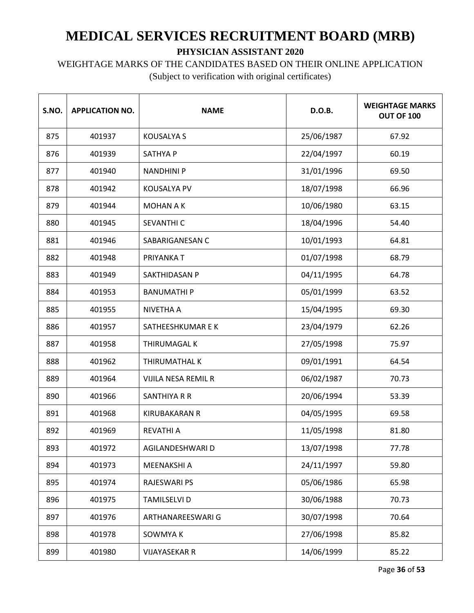WEIGHTAGE MARKS OF THE CANDIDATES BASED ON THEIR ONLINE APPLICATION

| S.NO. | <b>APPLICATION NO.</b> | <b>NAME</b>          | D.O.B.     | <b>WEIGHTAGE MARKS</b><br>OUT OF 100 |
|-------|------------------------|----------------------|------------|--------------------------------------|
| 875   | 401937                 | <b>KOUSALYA S</b>    | 25/06/1987 | 67.92                                |
| 876   | 401939                 | <b>SATHYA P</b>      | 22/04/1997 | 60.19                                |
| 877   | 401940                 | <b>NANDHINI P</b>    | 31/01/1996 | 69.50                                |
| 878   | 401942                 | <b>KOUSALYA PV</b>   | 18/07/1998 | 66.96                                |
| 879   | 401944                 | <b>MOHAN A K</b>     | 10/06/1980 | 63.15                                |
| 880   | 401945                 | SEVANTHI C           | 18/04/1996 | 54.40                                |
| 881   | 401946                 | SABARIGANESAN C      | 10/01/1993 | 64.81                                |
| 882   | 401948                 | PRIYANKA T           | 01/07/1998 | 68.79                                |
| 883   | 401949                 | SAKTHIDASAN P        | 04/11/1995 | 64.78                                |
| 884   | 401953                 | <b>BANUMATHIP</b>    | 05/01/1999 | 63.52                                |
| 885   | 401955                 | NIVETHA A            | 15/04/1995 | 69.30                                |
| 886   | 401957                 | SATHEESHKUMAR E K    | 23/04/1979 | 62.26                                |
| 887   | 401958                 | <b>THIRUMAGAL K</b>  | 27/05/1998 | 75.97                                |
| 888   | 401962                 | THIRUMATHAL K        | 09/01/1991 | 64.54                                |
| 889   | 401964                 | VIJILA NESA REMIL R  | 06/02/1987 | 70.73                                |
| 890   | 401966                 | SANTHIYA R R         | 20/06/1994 | 53.39                                |
| 891   | 401968                 | <b>KIRUBAKARAN R</b> | 04/05/1995 | 69.58                                |
| 892   | 401969                 | <b>REVATHI A</b>     | 11/05/1998 | 81.80                                |
| 893   | 401972                 | AGILANDESHWARI D     | 13/07/1998 | 77.78                                |
| 894   | 401973                 | MEENAKSHI A          | 24/11/1997 | 59.80                                |
| 895   | 401974                 | <b>RAJESWARI PS</b>  | 05/06/1986 | 65.98                                |
| 896   | 401975                 | <b>TAMILSELVI D</b>  | 30/06/1988 | 70.73                                |
| 897   | 401976                 | ARTHANAREESWARI G    | 30/07/1998 | 70.64                                |
| 898   | 401978                 | SOWMYA K             | 27/06/1998 | 85.82                                |
| 899   | 401980                 | <b>VIJAYASEKAR R</b> | 14/06/1999 | 85.22                                |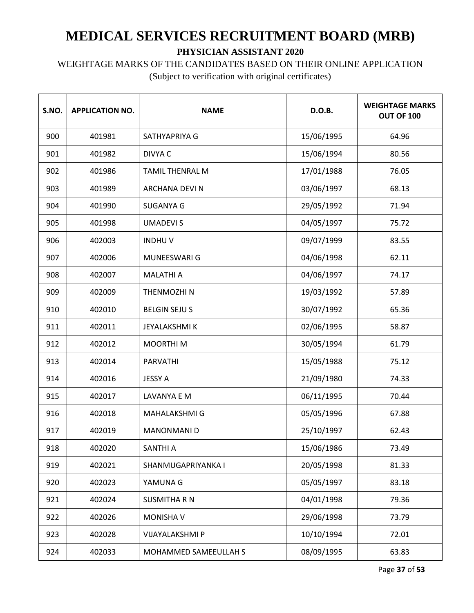# WEIGHTAGE MARKS OF THE CANDIDATES BASED ON THEIR ONLINE APPLICATION

| S.NO. | <b>APPLICATION NO.</b> | <b>NAME</b>            | D.O.B.     | <b>WEIGHTAGE MARKS</b><br>OUT OF 100 |
|-------|------------------------|------------------------|------------|--------------------------------------|
| 900   | 401981                 | SATHYAPRIYA G          | 15/06/1995 | 64.96                                |
| 901   | 401982                 | DIVYA C                | 15/06/1994 | 80.56                                |
| 902   | 401986                 | <b>TAMIL THENRAL M</b> | 17/01/1988 | 76.05                                |
| 903   | 401989                 | ARCHANA DEVI N         | 03/06/1997 | 68.13                                |
| 904   | 401990                 | <b>SUGANYA G</b>       | 29/05/1992 | 71.94                                |
| 905   | 401998                 | <b>UMADEVIS</b>        | 04/05/1997 | 75.72                                |
| 906   | 402003                 | <b>INDHUV</b>          | 09/07/1999 | 83.55                                |
| 907   | 402006                 | MUNEESWARI G           | 04/06/1998 | 62.11                                |
| 908   | 402007                 | <b>MALATHI A</b>       | 04/06/1997 | 74.17                                |
| 909   | 402009                 | <b>THENMOZHIN</b>      | 19/03/1992 | 57.89                                |
| 910   | 402010                 | <b>BELGIN SEJU S</b>   | 30/07/1992 | 65.36                                |
| 911   | 402011                 | <b>JEYALAKSHMI K</b>   | 02/06/1995 | 58.87                                |
| 912   | 402012                 | <b>MOORTHIM</b>        | 30/05/1994 | 61.79                                |
| 913   | 402014                 | <b>PARVATHI</b>        | 15/05/1988 | 75.12                                |
| 914   | 402016                 | <b>JESSY A</b>         | 21/09/1980 | 74.33                                |
| 915   | 402017                 | LAVANYA E M            | 06/11/1995 | 70.44                                |
| 916   | 402018                 | MAHALAKSHMI G          | 05/05/1996 | 67.88                                |
| 917   | 402019                 | <b>MANONMANI D</b>     | 25/10/1997 | 62.43                                |
| 918   | 402020                 | SANTHI A               | 15/06/1986 | 73.49                                |
| 919   | 402021                 | SHANMUGAPRIYANKA I     | 20/05/1998 | 81.33                                |
| 920   | 402023                 | YAMUNA G               | 05/05/1997 | 83.18                                |
| 921   | 402024                 | <b>SUSMITHA R N</b>    | 04/01/1998 | 79.36                                |
| 922   | 402026                 | <b>MONISHAV</b>        | 29/06/1998 | 73.79                                |
| 923   | 402028                 | VIJAYALAKSHMI P        | 10/10/1994 | 72.01                                |
| 924   | 402033                 | MOHAMMED SAMEEULLAH S  | 08/09/1995 | 63.83                                |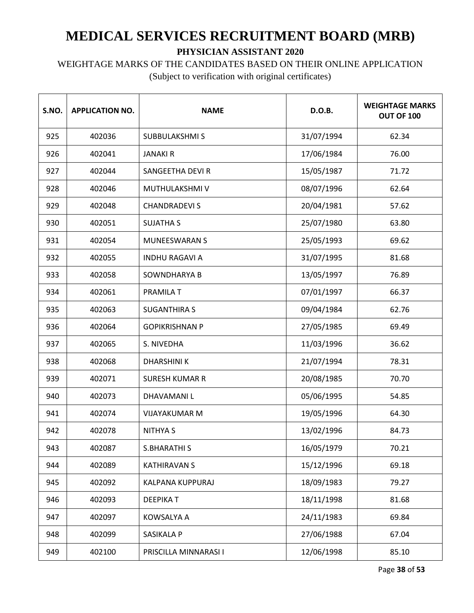# WEIGHTAGE MARKS OF THE CANDIDATES BASED ON THEIR ONLINE APPLICATION

| S.NO. | <b>APPLICATION NO.</b> | <b>NAME</b>             | D.O.B.     | <b>WEIGHTAGE MARKS</b><br><b>OUT OF 100</b> |
|-------|------------------------|-------------------------|------------|---------------------------------------------|
| 925   | 402036                 | <b>SUBBULAKSHMIS</b>    | 31/07/1994 | 62.34                                       |
| 926   | 402041                 | <b>JANAKI R</b>         | 17/06/1984 | 76.00                                       |
| 927   | 402044                 | <b>SANGEETHA DEVI R</b> | 15/05/1987 | 71.72                                       |
| 928   | 402046                 | MUTHULAKSHMI V          | 08/07/1996 | 62.64                                       |
| 929   | 402048                 | <b>CHANDRADEVIS</b>     | 20/04/1981 | 57.62                                       |
| 930   | 402051                 | <b>SUJATHA S</b>        | 25/07/1980 | 63.80                                       |
| 931   | 402054                 | <b>MUNEESWARAN S</b>    | 25/05/1993 | 69.62                                       |
| 932   | 402055                 | <b>INDHU RAGAVI A</b>   | 31/07/1995 | 81.68                                       |
| 933   | 402058                 | SOWNDHARYA B            | 13/05/1997 | 76.89                                       |
| 934   | 402061                 | <b>PRAMILA T</b>        | 07/01/1997 | 66.37                                       |
| 935   | 402063                 | <b>SUGANTHIRA S</b>     | 09/04/1984 | 62.76                                       |
| 936   | 402064                 | <b>GOPIKRISHNAN P</b>   | 27/05/1985 | 69.49                                       |
| 937   | 402065                 | S. NIVEDHA              | 11/03/1996 | 36.62                                       |
| 938   | 402068                 | <b>DHARSHINI K</b>      | 21/07/1994 | 78.31                                       |
| 939   | 402071                 | <b>SURESH KUMAR R</b>   | 20/08/1985 | 70.70                                       |
| 940   | 402073                 | DHAVAMANI L             | 05/06/1995 | 54.85                                       |
| 941   | 402074                 | <b>VIJAYAKUMAR M</b>    | 19/05/1996 | 64.30                                       |
| 942   | 402078                 | <b>NITHYA S</b>         | 13/02/1996 | 84.73                                       |
| 943   | 402087                 | <b>S.BHARATHI S</b>     | 16/05/1979 | 70.21                                       |
| 944   | 402089                 | <b>KATHIRAVAN S</b>     | 15/12/1996 | 69.18                                       |
| 945   | 402092                 | KALPANA KUPPURAJ        | 18/09/1983 | 79.27                                       |
| 946   | 402093                 | <b>DEEPIKAT</b>         | 18/11/1998 | 81.68                                       |
| 947   | 402097                 | KOWSALYA A              | 24/11/1983 | 69.84                                       |
| 948   | 402099                 | SASIKALA P              | 27/06/1988 | 67.04                                       |
| 949   | 402100                 | PRISCILLA MINNARASI I   | 12/06/1998 | 85.10                                       |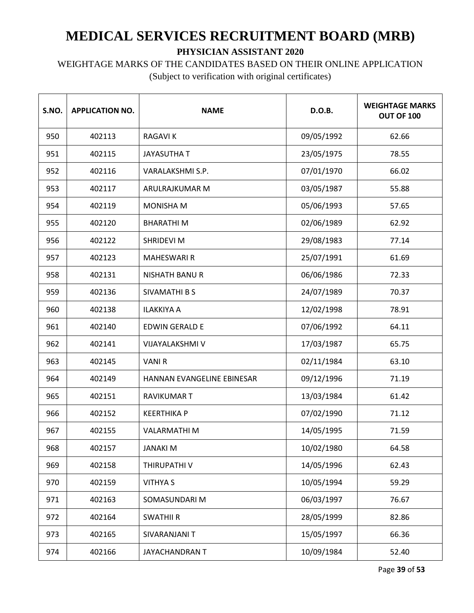#### WEIGHTAGE MARKS OF THE CANDIDATES BASED ON THEIR ONLINE APPLICATION

| S.NO. | <b>APPLICATION NO.</b> | <b>NAME</b>                | D.O.B.     | <b>WEIGHTAGE MARKS</b><br>OUT OF 100 |
|-------|------------------------|----------------------------|------------|--------------------------------------|
| 950   | 402113                 | <b>RAGAVIK</b>             | 09/05/1992 | 62.66                                |
| 951   | 402115                 | <b>JAYASUTHA T</b>         | 23/05/1975 | 78.55                                |
| 952   | 402116                 | VARALAKSHMI S.P.           | 07/01/1970 | 66.02                                |
| 953   | 402117                 | ARULRAJKUMAR M             | 03/05/1987 | 55.88                                |
| 954   | 402119                 | <b>MONISHA M</b>           | 05/06/1993 | 57.65                                |
| 955   | 402120                 | <b>BHARATHIM</b>           | 02/06/1989 | 62.92                                |
| 956   | 402122                 | SHRIDEVI M                 | 29/08/1983 | 77.14                                |
| 957   | 402123                 | <b>MAHESWARI R</b>         | 25/07/1991 | 61.69                                |
| 958   | 402131                 | <b>NISHATH BANU R</b>      | 06/06/1986 | 72.33                                |
| 959   | 402136                 | <b>SIVAMATHI B S</b>       | 24/07/1989 | 70.37                                |
| 960   | 402138                 | <b>ILAKKIYA A</b>          | 12/02/1998 | 78.91                                |
| 961   | 402140                 | <b>EDWIN GERALD E</b>      | 07/06/1992 | 64.11                                |
| 962   | 402141                 | VIJAYALAKSHMI V            | 17/03/1987 | 65.75                                |
| 963   | 402145                 | <b>VANIR</b>               | 02/11/1984 | 63.10                                |
| 964   | 402149                 | HANNAN EVANGELINE EBINESAR | 09/12/1996 | 71.19                                |
| 965   | 402151                 | <b>RAVIKUMAR T</b>         | 13/03/1984 | 61.42                                |
| 966   | 402152                 | <b>KEERTHIKA P</b>         | 07/02/1990 | 71.12                                |
| 967   | 402155                 | <b>VALARMATHIM</b>         | 14/05/1995 | 71.59                                |
| 968   | 402157                 | <b>JANAKI M</b>            | 10/02/1980 | 64.58                                |
| 969   | 402158                 | THIRUPATHI V               | 14/05/1996 | 62.43                                |
| 970   | 402159                 | <b>VITHYA S</b>            | 10/05/1994 | 59.29                                |
| 971   | 402163                 | SOMASUNDARI M              | 06/03/1997 | 76.67                                |
| 972   | 402164                 | <b>SWATHII R</b>           | 28/05/1999 | 82.86                                |
| 973   | 402165                 | SIVARANJANI T              | 15/05/1997 | 66.36                                |
| 974   | 402166                 | JAYACHANDRAN T             | 10/09/1984 | 52.40                                |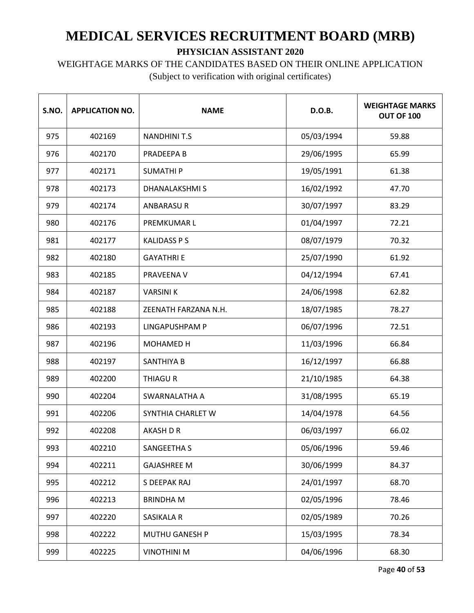# WEIGHTAGE MARKS OF THE CANDIDATES BASED ON THEIR ONLINE APPLICATION

| S.NO. | <b>APPLICATION NO.</b> | <b>NAME</b>          | D.O.B.     | <b>WEIGHTAGE MARKS</b><br>OUT OF 100 |
|-------|------------------------|----------------------|------------|--------------------------------------|
| 975   | 402169                 | <b>NANDHINIT.S</b>   | 05/03/1994 | 59.88                                |
| 976   | 402170                 | PRADEEPA B           | 29/06/1995 | 65.99                                |
| 977   | 402171                 | <b>SUMATHIP</b>      | 19/05/1991 | 61.38                                |
| 978   | 402173                 | <b>DHANALAKSHMIS</b> | 16/02/1992 | 47.70                                |
| 979   | 402174                 | <b>ANBARASUR</b>     | 30/07/1997 | 83.29                                |
| 980   | 402176                 | PREMKUMAR L          | 01/04/1997 | 72.21                                |
| 981   | 402177                 | <b>KALIDASS P S</b>  | 08/07/1979 | 70.32                                |
| 982   | 402180                 | <b>GAYATHRI E</b>    | 25/07/1990 | 61.92                                |
| 983   | 402185                 | PRAVEENA V           | 04/12/1994 | 67.41                                |
| 984   | 402187                 | <b>VARSINIK</b>      | 24/06/1998 | 62.82                                |
| 985   | 402188                 | ZEENATH FARZANA N.H. | 18/07/1985 | 78.27                                |
| 986   | 402193                 | LINGAPUSHPAM P       | 06/07/1996 | 72.51                                |
| 987   | 402196                 | MOHAMED H            | 11/03/1996 | 66.84                                |
| 988   | 402197                 | <b>SANTHIYA B</b>    | 16/12/1997 | 66.88                                |
| 989   | 402200                 | THIAGU R             | 21/10/1985 | 64.38                                |
| 990   | 402204                 | SWARNALATHA A        | 31/08/1995 | 65.19                                |
| 991   | 402206                 | SYNTHIA CHARLET W    | 14/04/1978 | 64.56                                |
| 992   | 402208                 | AKASH D R            | 06/03/1997 | 66.02                                |
| 993   | 402210                 | SANGEETHA S          | 05/06/1996 | 59.46                                |
| 994   | 402211                 | <b>GAJASHREE M</b>   | 30/06/1999 | 84.37                                |
| 995   | 402212                 | S DEEPAK RAJ         | 24/01/1997 | 68.70                                |
| 996   | 402213                 | <b>BRINDHAM</b>      | 02/05/1996 | 78.46                                |
| 997   | 402220                 | SASIKALA R           | 02/05/1989 | 70.26                                |
| 998   | 402222                 | MUTHU GANESH P       | 15/03/1995 | 78.34                                |
| 999   | 402225                 | <b>VINOTHINI M</b>   | 04/06/1996 | 68.30                                |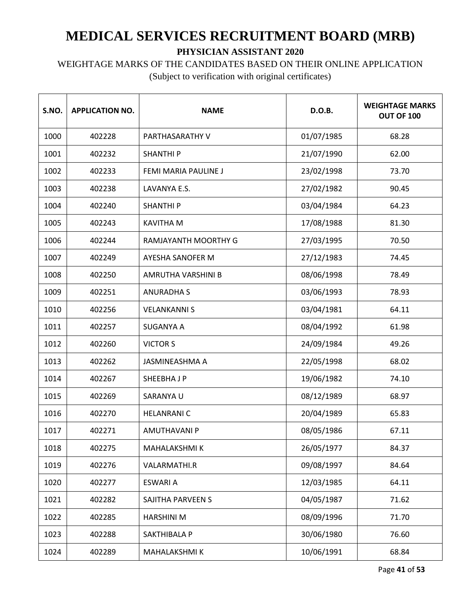WEIGHTAGE MARKS OF THE CANDIDATES BASED ON THEIR ONLINE APPLICATION

| S.NO. | <b>APPLICATION NO.</b> | <b>NAME</b>          | D.O.B.     | <b>WEIGHTAGE MARKS</b><br>OUT OF 100 |
|-------|------------------------|----------------------|------------|--------------------------------------|
| 1000  | 402228                 | PARTHASARATHY V      | 01/07/1985 | 68.28                                |
| 1001  | 402232                 | <b>SHANTHIP</b>      | 21/07/1990 | 62.00                                |
| 1002  | 402233                 | FEMI MARIA PAULINE J | 23/02/1998 | 73.70                                |
| 1003  | 402238                 | LAVANYA E.S.         | 27/02/1982 | 90.45                                |
| 1004  | 402240                 | <b>SHANTHIP</b>      | 03/04/1984 | 64.23                                |
| 1005  | 402243                 | <b>KAVITHA M</b>     | 17/08/1988 | 81.30                                |
| 1006  | 402244                 | RAMJAYANTH MOORTHY G | 27/03/1995 | 70.50                                |
| 1007  | 402249                 | AYESHA SANOFER M     | 27/12/1983 | 74.45                                |
| 1008  | 402250                 | AMRUTHA VARSHINI B   | 08/06/1998 | 78.49                                |
| 1009  | 402251                 | <b>ANURADHA S</b>    | 03/06/1993 | 78.93                                |
| 1010  | 402256                 | <b>VELANKANNI S</b>  | 03/04/1981 | 64.11                                |
| 1011  | 402257                 | <b>SUGANYA A</b>     | 08/04/1992 | 61.98                                |
| 1012  | 402260                 | <b>VICTOR S</b>      | 24/09/1984 | 49.26                                |
| 1013  | 402262                 | JASMINEASHMA A       | 22/05/1998 | 68.02                                |
| 1014  | 402267                 | SHEEBHA J P          | 19/06/1982 | 74.10                                |
| 1015  | 402269                 | SARANYA U            | 08/12/1989 | 68.97                                |
| 1016  | 402270                 | <b>HELANRANIC</b>    | 20/04/1989 | 65.83                                |
| 1017  | 402271                 | <b>AMUTHAVANI P</b>  | 08/05/1986 | 67.11                                |
| 1018  | 402275                 | MAHALAKSHMI K        | 26/05/1977 | 84.37                                |
| 1019  | 402276                 | VALARMATHI.R         | 09/08/1997 | 84.64                                |
| 1020  | 402277                 | <b>ESWARI A</b>      | 12/03/1985 | 64.11                                |
| 1021  | 402282                 | SAJITHA PARVEEN S    | 04/05/1987 | 71.62                                |
| 1022  | 402285                 | <b>HARSHINI M</b>    | 08/09/1996 | 71.70                                |
| 1023  | 402288                 | SAKTHIBALA P         | 30/06/1980 | 76.60                                |
| 1024  | 402289                 | MAHALAKSHMI K        | 10/06/1991 | 68.84                                |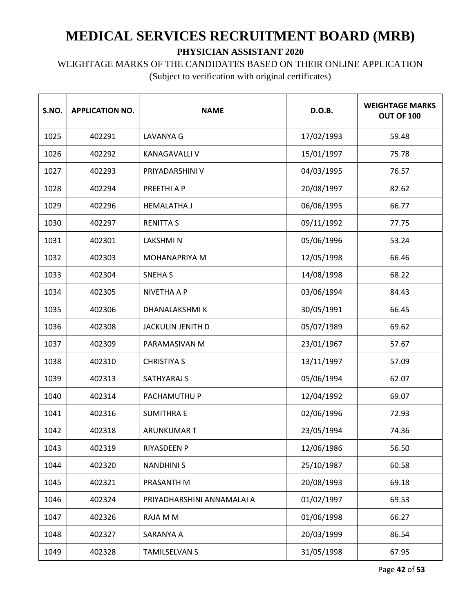WEIGHTAGE MARKS OF THE CANDIDATES BASED ON THEIR ONLINE APPLICATION

| S.NO. | <b>APPLICATION NO.</b> | <b>NAME</b>                | D.O.B.     | <b>WEIGHTAGE MARKS</b><br>OUT OF 100 |
|-------|------------------------|----------------------------|------------|--------------------------------------|
| 1025  | 402291                 | LAVANYA G                  | 17/02/1993 | 59.48                                |
| 1026  | 402292                 | <b>KANAGAVALLI V</b>       | 15/01/1997 | 75.78                                |
| 1027  | 402293                 | PRIYADARSHINI V            | 04/03/1995 | 76.57                                |
| 1028  | 402294                 | PREETHI A P                | 20/08/1997 | 82.62                                |
| 1029  | 402296                 | <b>HEMALATHA J</b>         | 06/06/1995 | 66.77                                |
| 1030  | 402297                 | <b>RENITTA S</b>           | 09/11/1992 | 77.75                                |
| 1031  | 402301                 | <b>LAKSHMIN</b>            | 05/06/1996 | 53.24                                |
| 1032  | 402303                 | <b>MOHANAPRIYA M</b>       | 12/05/1998 | 66.46                                |
| 1033  | 402304                 | <b>SNEHAS</b>              | 14/08/1998 | 68.22                                |
| 1034  | 402305                 | <b>NIVETHA A P</b>         | 03/06/1994 | 84.43                                |
| 1035  | 402306                 | DHANALAKSHMI K             | 30/05/1991 | 66.45                                |
| 1036  | 402308                 | <b>JACKULIN JENITH D</b>   | 05/07/1989 | 69.62                                |
| 1037  | 402309                 | PARAMASIVAN M              | 23/01/1967 | 57.67                                |
| 1038  | 402310                 | <b>CHRISTIYA S</b>         | 13/11/1997 | 57.09                                |
| 1039  | 402313                 | SATHYARAJ S                | 05/06/1994 | 62.07                                |
| 1040  | 402314                 | PACHAMUTHU P               | 12/04/1992 | 69.07                                |
| 1041  | 402316                 | <b>SUMITHRA E</b>          | 02/06/1996 | 72.93                                |
| 1042  | 402318                 | <b>ARUNKUMAR T</b>         | 23/05/1994 | 74.36                                |
| 1043  | 402319                 | RIYASDEEN P                | 12/06/1986 | 56.50                                |
| 1044  | 402320                 | <b>NANDHINIS</b>           | 25/10/1987 | 60.58                                |
| 1045  | 402321                 | PRASANTH M                 | 20/08/1993 | 69.18                                |
| 1046  | 402324                 | PRIYADHARSHINI ANNAMALAI A | 01/02/1997 | 69.53                                |
| 1047  | 402326                 | RAJA M M                   | 01/06/1998 | 66.27                                |
| 1048  | 402327                 | SARANYA A                  | 20/03/1999 | 86.54                                |
| 1049  | 402328                 | <b>TAMILSELVAN S</b>       | 31/05/1998 | 67.95                                |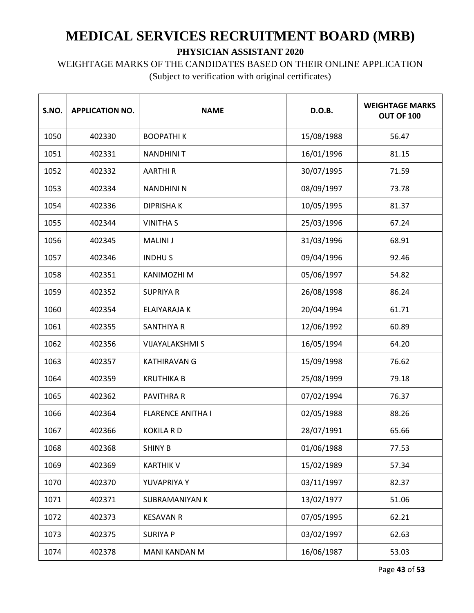WEIGHTAGE MARKS OF THE CANDIDATES BASED ON THEIR ONLINE APPLICATION

| S.NO. | <b>APPLICATION NO.</b> | <b>NAME</b>              | D.O.B.     | <b>WEIGHTAGE MARKS</b><br>OUT OF 100 |
|-------|------------------------|--------------------------|------------|--------------------------------------|
| 1050  | 402330                 | <b>BOOPATHIK</b>         | 15/08/1988 | 56.47                                |
| 1051  | 402331                 | <b>NANDHINIT</b>         | 16/01/1996 | 81.15                                |
| 1052  | 402332                 | <b>AARTHIR</b>           | 30/07/1995 | 71.59                                |
| 1053  | 402334                 | <b>NANDHINI N</b>        | 08/09/1997 | 73.78                                |
| 1054  | 402336                 | <b>DIPRISHAK</b>         | 10/05/1995 | 81.37                                |
| 1055  | 402344                 | <b>VINITHA S</b>         | 25/03/1996 | 67.24                                |
| 1056  | 402345                 | <b>MALINI J</b>          | 31/03/1996 | 68.91                                |
| 1057  | 402346                 | <b>INDHUS</b>            | 09/04/1996 | 92.46                                |
| 1058  | 402351                 | <b>KANIMOZHI M</b>       | 05/06/1997 | 54.82                                |
| 1059  | 402352                 | <b>SUPRIYA R</b>         | 26/08/1998 | 86.24                                |
| 1060  | 402354                 | <b>ELAIYARAJA K</b>      | 20/04/1994 | 61.71                                |
| 1061  | 402355                 | <b>SANTHIYA R</b>        | 12/06/1992 | 60.89                                |
| 1062  | 402356                 | <b>VIJAYALAKSHMI S</b>   | 16/05/1994 | 64.20                                |
| 1063  | 402357                 | <b>KATHIRAVAN G</b>      | 15/09/1998 | 76.62                                |
| 1064  | 402359                 | <b>KRUTHIKA B</b>        | 25/08/1999 | 79.18                                |
| 1065  | 402362                 | <b>PAVITHRA R</b>        | 07/02/1994 | 76.37                                |
| 1066  | 402364                 | <b>FLARENCE ANITHA I</b> | 02/05/1988 | 88.26                                |
| 1067  | 402366                 | <b>KOKILA RD</b>         | 28/07/1991 | 65.66                                |
| 1068  | 402368                 | <b>SHINY B</b>           | 01/06/1988 | 77.53                                |
| 1069  | 402369                 | <b>KARTHIK V</b>         | 15/02/1989 | 57.34                                |
| 1070  | 402370                 | YUVAPRIYA Y              | 03/11/1997 | 82.37                                |
| 1071  | 402371                 | <b>SUBRAMANIYAN K</b>    | 13/02/1977 | 51.06                                |
| 1072  | 402373                 | <b>KESAVAN R</b>         | 07/05/1995 | 62.21                                |
| 1073  | 402375                 | <b>SURIYA P</b>          | 03/02/1997 | 62.63                                |
| 1074  | 402378                 | MANI KANDAN M            | 16/06/1987 | 53.03                                |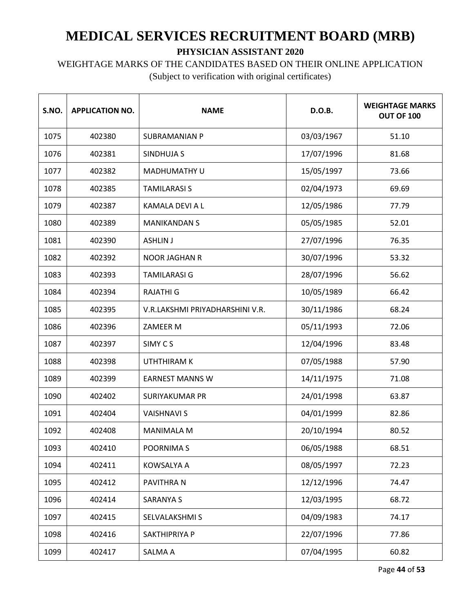# WEIGHTAGE MARKS OF THE CANDIDATES BASED ON THEIR ONLINE APPLICATION

| S.NO. | <b>APPLICATION NO.</b> | <b>NAME</b>                     | D.O.B.     | <b>WEIGHTAGE MARKS</b><br><b>OUT OF 100</b> |
|-------|------------------------|---------------------------------|------------|---------------------------------------------|
| 1075  | 402380                 | <b>SUBRAMANIAN P</b>            | 03/03/1967 | 51.10                                       |
| 1076  | 402381                 | <b>SINDHUJA S</b>               | 17/07/1996 | 81.68                                       |
| 1077  | 402382                 | <b>MADHUMATHY U</b>             | 15/05/1997 | 73.66                                       |
| 1078  | 402385                 | <b>TAMILARASI S</b>             | 02/04/1973 | 69.69                                       |
| 1079  | 402387                 | KAMALA DEVI A L                 | 12/05/1986 | 77.79                                       |
| 1080  | 402389                 | <b>MANIKANDAN S</b>             | 05/05/1985 | 52.01                                       |
| 1081  | 402390                 | <b>ASHLIN J</b>                 | 27/07/1996 | 76.35                                       |
| 1082  | 402392                 | <b>NOOR JAGHAN R</b>            | 30/07/1996 | 53.32                                       |
| 1083  | 402393                 | <b>TAMILARASI G</b>             | 28/07/1996 | 56.62                                       |
| 1084  | 402394                 | <b>RAJATHI G</b>                | 10/05/1989 | 66.42                                       |
| 1085  | 402395                 | V.R.LAKSHMI PRIYADHARSHINI V.R. | 30/11/1986 | 68.24                                       |
| 1086  | 402396                 | ZAMEER M                        | 05/11/1993 | 72.06                                       |
| 1087  | 402397                 | SIMY CS                         | 12/04/1996 | 83.48                                       |
| 1088  | 402398                 | UTHTHIRAM K                     | 07/05/1988 | 57.90                                       |
| 1089  | 402399                 | <b>EARNEST MANNS W</b>          | 14/11/1975 | 71.08                                       |
| 1090  | 402402                 | <b>SURIYAKUMAR PR</b>           | 24/01/1998 | 63.87                                       |
| 1091  | 402404                 | <b>VAISHNAVI S</b>              | 04/01/1999 | 82.86                                       |
| 1092  | 402408                 | <b>MANIMALA M</b>               | 20/10/1994 | 80.52                                       |
| 1093  | 402410                 | POORNIMA S                      | 06/05/1988 | 68.51                                       |
| 1094  | 402411                 | KOWSALYA A                      | 08/05/1997 | 72.23                                       |
| 1095  | 402412                 | PAVITHRA N                      | 12/12/1996 | 74.47                                       |
| 1096  | 402414                 | <b>SARANYA S</b>                | 12/03/1995 | 68.72                                       |
| 1097  | 402415                 | SELVALAKSHMI S                  | 04/09/1983 | 74.17                                       |
| 1098  | 402416                 | SAKTHIPRIYA P                   | 22/07/1996 | 77.86                                       |
| 1099  | 402417                 | SALMA A                         | 07/04/1995 | 60.82                                       |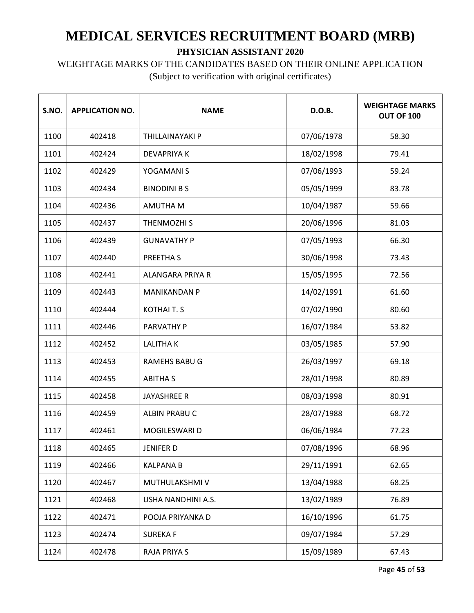WEIGHTAGE MARKS OF THE CANDIDATES BASED ON THEIR ONLINE APPLICATION

| S.NO. | <b>APPLICATION NO.</b> | <b>NAME</b>          | D.O.B.     | <b>WEIGHTAGE MARKS</b><br>OUT OF 100 |
|-------|------------------------|----------------------|------------|--------------------------------------|
| 1100  | 402418                 | THILLAINAYAKI P      | 07/06/1978 | 58.30                                |
| 1101  | 402424                 | <b>DEVAPRIYAK</b>    | 18/02/1998 | 79.41                                |
| 1102  | 402429                 | YOGAMANI S           | 07/06/1993 | 59.24                                |
| 1103  | 402434                 | <b>BINODINI B S</b>  | 05/05/1999 | 83.78                                |
| 1104  | 402436                 | AMUTHA M             | 10/04/1987 | 59.66                                |
| 1105  | 402437                 | THENMOZHI S          | 20/06/1996 | 81.03                                |
| 1106  | 402439                 | <b>GUNAVATHY P</b>   | 07/05/1993 | 66.30                                |
| 1107  | 402440                 | PREETHA S            | 30/06/1998 | 73.43                                |
| 1108  | 402441                 | ALANGARA PRIYA R     | 15/05/1995 | 72.56                                |
| 1109  | 402443                 | <b>MANIKANDAN P</b>  | 14/02/1991 | 61.60                                |
| 1110  | 402444                 | <b>KOTHAIT.S</b>     | 07/02/1990 | 80.60                                |
| 1111  | 402446                 | PARVATHY P           | 16/07/1984 | 53.82                                |
| 1112  | 402452                 | <b>LALITHAK</b>      | 03/05/1985 | 57.90                                |
| 1113  | 402453                 | <b>RAMEHS BABU G</b> | 26/03/1997 | 69.18                                |
| 1114  | 402455                 | <b>ABITHA S</b>      | 28/01/1998 | 80.89                                |
| 1115  | 402458                 | <b>JAYASHREE R</b>   | 08/03/1998 | 80.91                                |
| 1116  | 402459                 | ALBIN PRABU C        | 28/07/1988 | 68.72                                |
| 1117  | 402461                 | MOGILESWARI D        | 06/06/1984 | 77.23                                |
| 1118  | 402465                 | <b>JENIFER D</b>     | 07/08/1996 | 68.96                                |
| 1119  | 402466                 | <b>KALPANA B</b>     | 29/11/1991 | 62.65                                |
| 1120  | 402467                 | MUTHULAKSHMI V       | 13/04/1988 | 68.25                                |
| 1121  | 402468                 | USHA NANDHINI A.S.   | 13/02/1989 | 76.89                                |
| 1122  | 402471                 | POOJA PRIYANKA D     | 16/10/1996 | 61.75                                |
| 1123  | 402474                 | <b>SUREKAF</b>       | 09/07/1984 | 57.29                                |
| 1124  | 402478                 | RAJA PRIYA S         | 15/09/1989 | 67.43                                |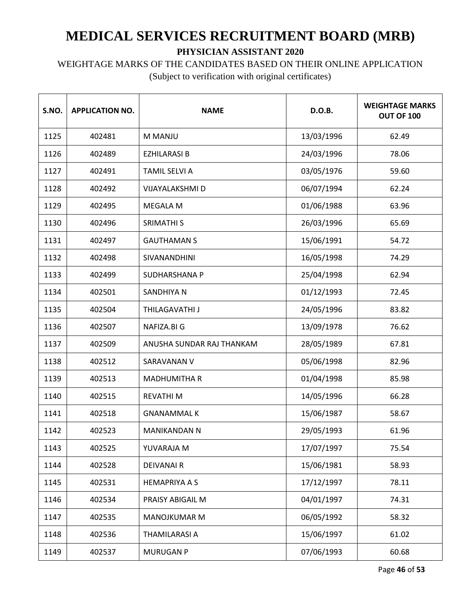#### WEIGHTAGE MARKS OF THE CANDIDATES BASED ON THEIR ONLINE APPLICATION

| S.NO. | <b>APPLICATION NO.</b> | <b>NAME</b>               | D.O.B.     | <b>WEIGHTAGE MARKS</b><br>OUT OF 100 |
|-------|------------------------|---------------------------|------------|--------------------------------------|
| 1125  | 402481                 | M MANJU                   | 13/03/1996 | 62.49                                |
| 1126  | 402489                 | <b>EZHILARASI B</b>       | 24/03/1996 | 78.06                                |
| 1127  | 402491                 | <b>TAMIL SELVI A</b>      | 03/05/1976 | 59.60                                |
| 1128  | 402492                 | VIJAYALAKSHMI D           | 06/07/1994 | 62.24                                |
| 1129  | 402495                 | <b>MEGALA M</b>           | 01/06/1988 | 63.96                                |
| 1130  | 402496                 | <b>SRIMATHI S</b>         | 26/03/1996 | 65.69                                |
| 1131  | 402497                 | <b>GAUTHAMAN S</b>        | 15/06/1991 | 54.72                                |
| 1132  | 402498                 | SIVANANDHINI              | 16/05/1998 | 74.29                                |
| 1133  | 402499                 | SUDHARSHANA P             | 25/04/1998 | 62.94                                |
| 1134  | 402501                 | <b>SANDHIYA N</b>         | 01/12/1993 | 72.45                                |
| 1135  | 402504                 | THILAGAVATHI J            | 24/05/1996 | 83.82                                |
| 1136  | 402507                 | NAFIZA.BI G               | 13/09/1978 | 76.62                                |
| 1137  | 402509                 | ANUSHA SUNDAR RAJ THANKAM | 28/05/1989 | 67.81                                |
| 1138  | 402512                 | SARAVANAN V               | 05/06/1998 | 82.96                                |
| 1139  | 402513                 | <b>MADHUMITHA R</b>       | 01/04/1998 | 85.98                                |
| 1140  | 402515                 | <b>REVATHIM</b>           | 14/05/1996 | 66.28                                |
| 1141  | 402518                 | <b>GNANAMMAL K</b>        | 15/06/1987 | 58.67                                |
| 1142  | 402523                 | <b>MANIKANDAN N</b>       | 29/05/1993 | 61.96                                |
| 1143  | 402525                 | YUVARAJA M                | 17/07/1997 | 75.54                                |
| 1144  | 402528                 | <b>DEIVANAIR</b>          | 15/06/1981 | 58.93                                |
| 1145  | 402531                 | <b>HEMAPRIYA A S</b>      | 17/12/1997 | 78.11                                |
| 1146  | 402534                 | PRAISY ABIGAIL M          | 04/01/1997 | 74.31                                |
| 1147  | 402535                 | <b>MANOJKUMAR M</b>       | 06/05/1992 | 58.32                                |
| 1148  | 402536                 | THAMILARASI A             | 15/06/1997 | 61.02                                |
| 1149  | 402537                 | <b>MURUGAN P</b>          | 07/06/1993 | 60.68                                |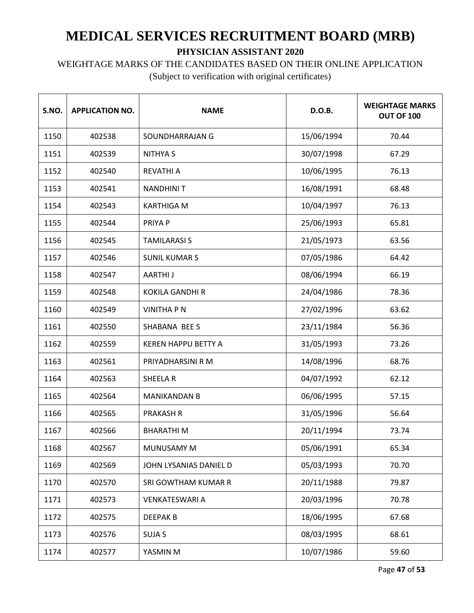WEIGHTAGE MARKS OF THE CANDIDATES BASED ON THEIR ONLINE APPLICATION

| S.NO. | <b>APPLICATION NO.</b> | <b>NAME</b>                | D.O.B.     | <b>WEIGHTAGE MARKS</b><br>OUT OF 100 |
|-------|------------------------|----------------------------|------------|--------------------------------------|
| 1150  | 402538                 | SOUNDHARRAJAN G            | 15/06/1994 | 70.44                                |
| 1151  | 402539                 | <b>NITHYA S</b>            | 30/07/1998 | 67.29                                |
| 1152  | 402540                 | <b>REVATHI A</b>           | 10/06/1995 | 76.13                                |
| 1153  | 402541                 | <b>NANDHINIT</b>           | 16/08/1991 | 68.48                                |
| 1154  | 402543                 | <b>KARTHIGA M</b>          | 10/04/1997 | 76.13                                |
| 1155  | 402544                 | PRIYA P                    | 25/06/1993 | 65.81                                |
| 1156  | 402545                 | <b>TAMILARASI S</b>        | 21/05/1973 | 63.56                                |
| 1157  | 402546                 | <b>SUNIL KUMAR S</b>       | 07/05/1986 | 64.42                                |
| 1158  | 402547                 | <b>AARTHIJ</b>             | 08/06/1994 | 66.19                                |
| 1159  | 402548                 | <b>KOKILA GANDHI R</b>     | 24/04/1986 | 78.36                                |
| 1160  | 402549                 | <b>VINITHA P N</b>         | 27/02/1996 | 63.62                                |
| 1161  | 402550                 | SHABANA BEE S              | 23/11/1984 | 56.36                                |
| 1162  | 402559                 | <b>KEREN HAPPU BETTY A</b> | 31/05/1993 | 73.26                                |
| 1163  | 402561                 | PRIYADHARSINI R M          | 14/08/1996 | 68.76                                |
| 1164  | 402563                 | <b>SHEELAR</b>             | 04/07/1992 | 62.12                                |
| 1165  | 402564                 | <b>MANIKANDAN B</b>        | 06/06/1995 | 57.15                                |
| 1166  | 402565                 | <b>PRAKASH R</b>           | 31/05/1996 | 56.64                                |
| 1167  | 402566                 | <b>BHARATHIM</b>           | 20/11/1994 | 73.74                                |
| 1168  | 402567                 | MUNUSAMY M                 | 05/06/1991 | 65.34                                |
| 1169  | 402569                 | JOHN LYSANIAS DANIEL D     | 05/03/1993 | 70.70                                |
| 1170  | 402570                 | SRI GOWTHAM KUMAR R        | 20/11/1988 | 79.87                                |
| 1171  | 402573                 | <b>VENKATESWARI A</b>      | 20/03/1996 | 70.78                                |
| 1172  | 402575                 | <b>DEEPAK B</b>            | 18/06/1995 | 67.68                                |
| 1173  | 402576                 | <b>SUJA S</b>              | 08/03/1995 | 68.61                                |
| 1174  | 402577                 | YASMIN M                   | 10/07/1986 | 59.60                                |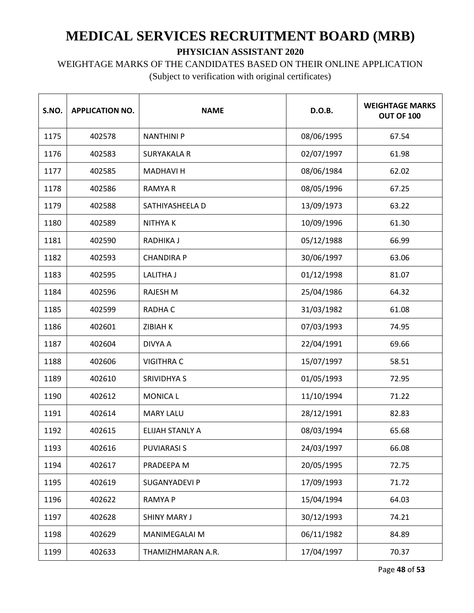WEIGHTAGE MARKS OF THE CANDIDATES BASED ON THEIR ONLINE APPLICATION

| S.NO. | <b>APPLICATION NO.</b> | <b>NAME</b>            | D.O.B.     | <b>WEIGHTAGE MARKS</b><br>OUT OF 100 |
|-------|------------------------|------------------------|------------|--------------------------------------|
| 1175  | 402578                 | <b>NANTHINI P</b>      | 08/06/1995 | 67.54                                |
| 1176  | 402583                 | <b>SURYAKALA R</b>     | 02/07/1997 | 61.98                                |
| 1177  | 402585                 | <b>MADHAVI H</b>       | 08/06/1984 | 62.02                                |
| 1178  | 402586                 | <b>RAMYA R</b>         | 08/05/1996 | 67.25                                |
| 1179  | 402588                 | SATHIYASHEELA D        | 13/09/1973 | 63.22                                |
| 1180  | 402589                 | <b>NITHYAK</b>         | 10/09/1996 | 61.30                                |
| 1181  | 402590                 | RADHIKA J              | 05/12/1988 | 66.99                                |
| 1182  | 402593                 | <b>CHANDIRA P</b>      | 30/06/1997 | 63.06                                |
| 1183  | 402595                 | <b>LALITHA J</b>       | 01/12/1998 | 81.07                                |
| 1184  | 402596                 | <b>RAJESH M</b>        | 25/04/1986 | 64.32                                |
| 1185  | 402599                 | RADHA C                | 31/03/1982 | 61.08                                |
| 1186  | 402601                 | <b>ZIBIAH K</b>        | 07/03/1993 | 74.95                                |
| 1187  | 402604                 | <b>DIVYA A</b>         | 22/04/1991 | 69.66                                |
| 1188  | 402606                 | <b>VIGITHRA C</b>      | 15/07/1997 | 58.51                                |
| 1189  | 402610                 | <b>SRIVIDHYA S</b>     | 01/05/1993 | 72.95                                |
| 1190  | 402612                 | <b>MONICA L</b>        | 11/10/1994 | 71.22                                |
| 1191  | 402614                 | <b>MARY LALU</b>       | 28/12/1991 | 82.83                                |
| 1192  | 402615                 | <b>ELIJAH STANLY A</b> | 08/03/1994 | 65.68                                |
| 1193  | 402616                 | <b>PUVIARASI S</b>     | 24/03/1997 | 66.08                                |
| 1194  | 402617                 | PRADEEPA M             | 20/05/1995 | 72.75                                |
| 1195  | 402619                 | SUGANYADEVI P          | 17/09/1993 | 71.72                                |
| 1196  | 402622                 | <b>RAMYAP</b>          | 15/04/1994 | 64.03                                |
| 1197  | 402628                 | <b>SHINY MARY J</b>    | 30/12/1993 | 74.21                                |
| 1198  | 402629                 | MANIMEGALAI M          | 06/11/1982 | 84.89                                |
| 1199  | 402633                 | THAMIZHMARAN A.R.      | 17/04/1997 | 70.37                                |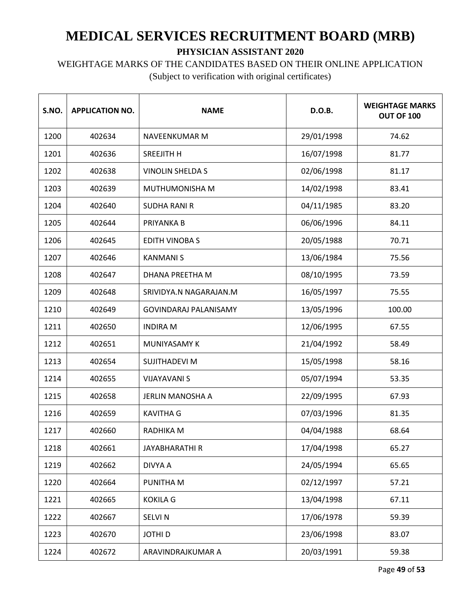# WEIGHTAGE MARKS OF THE CANDIDATES BASED ON THEIR ONLINE APPLICATION

(Subject to verification with original certificates)

| S.NO. | <b>APPLICATION NO.</b> | <b>NAME</b>                  | D.O.B.     | <b>WEIGHTAGE MARKS</b><br>OUT OF 100 |
|-------|------------------------|------------------------------|------------|--------------------------------------|
| 1200  | 402634                 | <b>NAVEENKUMAR M</b>         | 29/01/1998 | 74.62                                |
| 1201  | 402636                 | SREEJITH H                   | 16/07/1998 | 81.77                                |
| 1202  | 402638                 | <b>VINOLIN SHELDA S</b>      | 02/06/1998 | 81.17                                |
| 1203  | 402639                 | MUTHUMONISHA M               | 14/02/1998 | 83.41                                |
| 1204  | 402640                 | <b>SUDHA RANI R</b>          | 04/11/1985 | 83.20                                |
| 1205  | 402644                 | PRIYANKA B                   | 06/06/1996 | 84.11                                |
| 1206  | 402645                 | <b>EDITH VINOBAS</b>         | 20/05/1988 | 70.71                                |
| 1207  | 402646                 | <b>KANMANIS</b>              | 13/06/1984 | 75.56                                |
| 1208  | 402647                 | <b>DHANA PREETHA M</b>       | 08/10/1995 | 73.59                                |
| 1209  | 402648                 | SRIVIDYA.N NAGARAJAN.M       | 16/05/1997 | 75.55                                |
| 1210  | 402649                 | <b>GOVINDARAJ PALANISAMY</b> | 13/05/1996 | 100.00                               |
| 1211  | 402650                 | <b>INDIRA M</b>              | 12/06/1995 | 67.55                                |
| 1212  | 402651                 | <b>MUNIYASAMY K</b>          | 21/04/1992 | 58.49                                |
| 1213  | 402654                 | SUJITHADEVI M                | 15/05/1998 | 58.16                                |
| 1214  | 402655                 | <b>VIJAYAVANI S</b>          | 05/07/1994 | 53.35                                |
| 1215  | 402658                 | JERLIN MANOSHA A             | 22/09/1995 | 67.93                                |
| 1216  | 402659                 | <b>KAVITHA G</b>             | 07/03/1996 | 81.35                                |
| 1217  | 402660                 | RADHIKA M                    | 04/04/1988 | 68.64                                |
| 1218  | 402661                 | JAYABHARATHI R               | 17/04/1998 | 65.27                                |
| 1219  | 402662                 | DIVYA A                      | 24/05/1994 | 65.65                                |
| 1220  | 402664                 | PUNITHA M                    | 02/12/1997 | 57.21                                |
| 1221  | 402665                 | <b>KOKILA G</b>              | 13/04/1998 | 67.11                                |
| 1222  | 402667                 | <b>SELVIN</b>                | 17/06/1978 | 59.39                                |
| 1223  | 402670                 | <b>JOTHI D</b>               | 23/06/1998 | 83.07                                |
| 1224  | 402672                 | ARAVINDRAJKUMAR A            | 20/03/1991 | 59.38                                |

Page **49** of **53**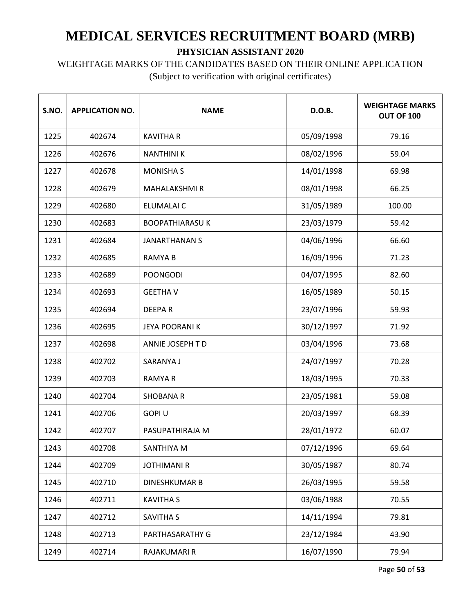WEIGHTAGE MARKS OF THE CANDIDATES BASED ON THEIR ONLINE APPLICATION

| S.NO. | <b>APPLICATION NO.</b> | <b>NAME</b>            | D.O.B.     | <b>WEIGHTAGE MARKS</b><br>OUT OF 100 |
|-------|------------------------|------------------------|------------|--------------------------------------|
| 1225  | 402674                 | <b>KAVITHA R</b>       | 05/09/1998 | 79.16                                |
| 1226  | 402676                 | <b>NANTHINIK</b>       | 08/02/1996 | 59.04                                |
| 1227  | 402678                 | <b>MONISHA S</b>       | 14/01/1998 | 69.98                                |
| 1228  | 402679                 | <b>MAHALAKSHMI R</b>   | 08/01/1998 | 66.25                                |
| 1229  | 402680                 | ELUMALAI C             | 31/05/1989 | 100.00                               |
| 1230  | 402683                 | <b>BOOPATHIARASU K</b> | 23/03/1979 | 59.42                                |
| 1231  | 402684                 | <b>JANARTHANAN S</b>   | 04/06/1996 | 66.60                                |
| 1232  | 402685                 | <b>RAMYAB</b>          | 16/09/1996 | 71.23                                |
| 1233  | 402689                 | <b>POONGODI</b>        | 04/07/1995 | 82.60                                |
| 1234  | 402693                 | <b>GEETHA V</b>        | 16/05/1989 | 50.15                                |
| 1235  | 402694                 | <b>DEEPAR</b>          | 23/07/1996 | 59.93                                |
| 1236  | 402695                 | <b>JEYA POORANIK</b>   | 30/12/1997 | 71.92                                |
| 1237  | 402698                 | ANNIE JOSEPH TD        | 03/04/1996 | 73.68                                |
| 1238  | 402702                 | SARANYA J              | 24/07/1997 | 70.28                                |
| 1239  | 402703                 | <b>RAMYAR</b>          | 18/03/1995 | 70.33                                |
| 1240  | 402704                 | <b>SHOBANA R</b>       | 23/05/1981 | 59.08                                |
| 1241  | 402706                 | <b>GOPIU</b>           | 20/03/1997 | 68.39                                |
| 1242  | 402707                 | PASUPATHIRAJA M        | 28/01/1972 | 60.07                                |
| 1243  | 402708                 | SANTHIYA M             | 07/12/1996 | 69.64                                |
| 1244  | 402709                 | <b>JOTHIMANI R</b>     | 30/05/1987 | 80.74                                |
| 1245  | 402710                 | <b>DINESHKUMAR B</b>   | 26/03/1995 | 59.58                                |
| 1246  | 402711                 | <b>KAVITHA S</b>       | 03/06/1988 | 70.55                                |
| 1247  | 402712                 | <b>SAVITHA S</b>       | 14/11/1994 | 79.81                                |
| 1248  | 402713                 | PARTHASARATHY G        | 23/12/1984 | 43.90                                |
| 1249  | 402714                 | RAJAKUMARI R           | 16/07/1990 | 79.94                                |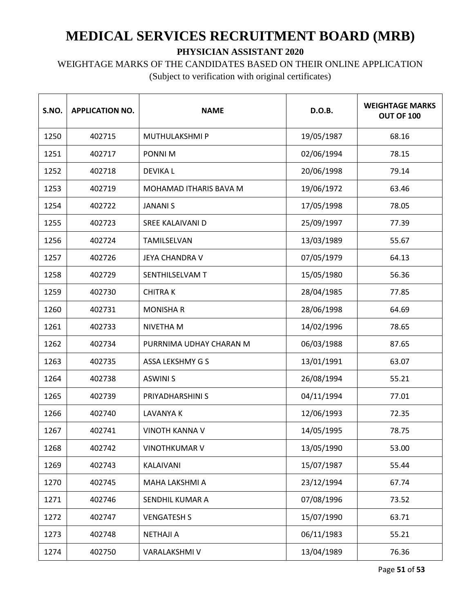WEIGHTAGE MARKS OF THE CANDIDATES BASED ON THEIR ONLINE APPLICATION

| S.NO. | <b>APPLICATION NO.</b> | <b>NAME</b>             | D.O.B.     | <b>WEIGHTAGE MARKS</b><br>OUT OF 100 |
|-------|------------------------|-------------------------|------------|--------------------------------------|
| 1250  | 402715                 | <b>MUTHULAKSHMIP</b>    | 19/05/1987 | 68.16                                |
| 1251  | 402717                 | PONNI M                 | 02/06/1994 | 78.15                                |
| 1252  | 402718                 | <b>DEVIKAL</b>          | 20/06/1998 | 79.14                                |
| 1253  | 402719                 | MOHAMAD ITHARIS BAVA M  | 19/06/1972 | 63.46                                |
| 1254  | 402722                 | <b>JANANIS</b>          | 17/05/1998 | 78.05                                |
| 1255  | 402723                 | SREE KALAIVANI D        | 25/09/1997 | 77.39                                |
| 1256  | 402724                 | TAMILSELVAN             | 13/03/1989 | 55.67                                |
| 1257  | 402726                 | <b>JEYA CHANDRA V</b>   | 07/05/1979 | 64.13                                |
| 1258  | 402729                 | SENTHILSELVAM T         | 15/05/1980 | 56.36                                |
| 1259  | 402730                 | <b>CHITRAK</b>          | 28/04/1985 | 77.85                                |
| 1260  | 402731                 | <b>MONISHA R</b>        | 28/06/1998 | 64.69                                |
| 1261  | 402733                 | NIVETHA M               | 14/02/1996 | 78.65                                |
| 1262  | 402734                 | PURRNIMA UDHAY CHARAN M | 06/03/1988 | 87.65                                |
| 1263  | 402735                 | <b>ASSA LEKSHMY G S</b> | 13/01/1991 | 63.07                                |
| 1264  | 402738                 | <b>ASWINI S</b>         | 26/08/1994 | 55.21                                |
| 1265  | 402739                 | PRIYADHARSHINI S        | 04/11/1994 | 77.01                                |
| 1266  | 402740                 | LAVANYA K               | 12/06/1993 | 72.35                                |
| 1267  | 402741                 | <b>VINOTH KANNA V</b>   | 14/05/1995 | 78.75                                |
| 1268  | 402742                 | <b>VINOTHKUMAR V</b>    | 13/05/1990 | 53.00                                |
| 1269  | 402743                 | KALAIVANI               | 15/07/1987 | 55.44                                |
| 1270  | 402745                 | MAHA LAKSHMI A          | 23/12/1994 | 67.74                                |
| 1271  | 402746                 | SENDHIL KUMAR A         | 07/08/1996 | 73.52                                |
| 1272  | 402747                 | <b>VENGATESH S</b>      | 15/07/1990 | 63.71                                |
| 1273  | 402748                 | <b>NETHAJI A</b>        | 06/11/1983 | 55.21                                |
| 1274  | 402750                 | VARALAKSHMI V           | 13/04/1989 | 76.36                                |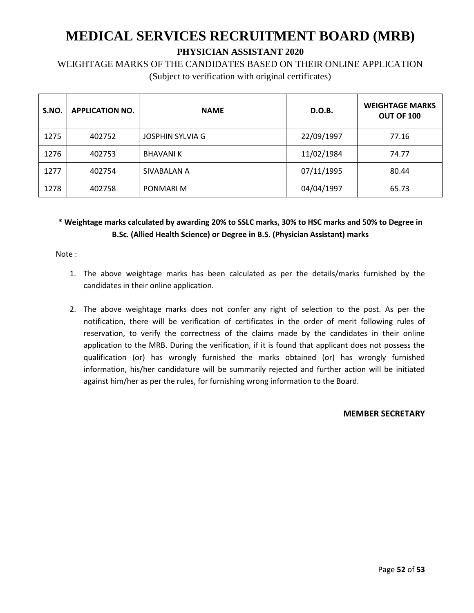WEIGHTAGE MARKS OF THE CANDIDATES BASED ON THEIR ONLINE APPLICATION (Subject to verification with original certificates)

| S.NO. | <b>APPLICATION NO.</b> | <b>NAME</b>             | D.O.B.     | <b>WEIGHTAGE MARKS</b><br><b>OUT OF 100</b> |
|-------|------------------------|-------------------------|------------|---------------------------------------------|
| 1275  | 402752                 | <b>JOSPHIN SYLVIA G</b> | 22/09/1997 | 77.16                                       |
| 1276  | 402753                 | <b>BHAVANIK</b>         | 11/02/1984 | 74.77                                       |
| 1277  | 402754                 | SIVABALAN A             | 07/11/1995 | 80.44                                       |
| 1278  | 402758                 | PONMARI M               | 04/04/1997 | 65.73                                       |

#### **\* Weightage marks calculated by awarding 20% to SSLC marks, 30% to HSC marks and 50% to Degree in B.Sc. (Allied Health Science) or Degree in B.S. (Physician Assistant) marks**

Note :

- 1. The above weightage marks has been calculated as per the details/marks furnished by the candidates in their online application.
- 2. The above weightage marks does not confer any right of selection to the post. As per the notification, there will be verification of certificates in the order of merit following rules of reservation, to verify the correctness of the claims made by the candidates in their online application to the MRB. During the verification, if it is found that applicant does not possess the qualification (or) has wrongly furnished the marks obtained (or) has wrongly furnished information, his/her candidature will be summarily rejected and further action will be initiated against him/her as per the rules, for furnishing wrong information to the Board.

#### **MEMBER SECRETARY**